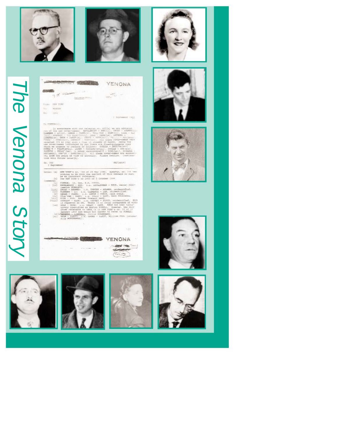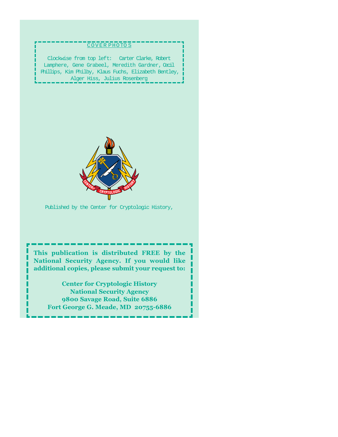# COVER PHOTO S Clockwise from top left: Carter Clarke, Robert Lamphere, Gene Grabeel, Meredith Gardner, Cecil Phillips, Kim Philby, Klaus Fuchs, Elizabeth Bentley, Alger Hiss, Julius Rosenberg Published by the Center for Cryptologic History,

**This publication is distributed FREE by the National Security Agency. If you would like additional copies, please submit your request to:**

**Center for Cryptologic History National Security Agency 9800 Savage Road, Suite 6886 Fort George G. Meade, MD 20755-6886**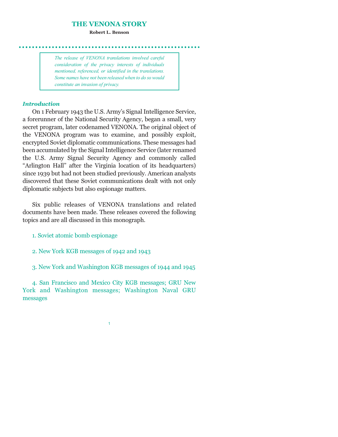#### **THE VENONA STORY**

**Robert L. Benson**

*The release of VENONA translations involved careful consideration of the privacy interests of individuals mentioned, referenced, or identified in the translations. Some names have not been released when to do so would constitute an invasion of privacy.*

# *Introduction*

On 1 February 1943 the U.S. Armys Signal Intelligence Service, a forerunner of the National Security Agency, began a small, very secret program, later codenamed VENONA. The original object of the VENONA program was to examine, and possibly exploit, encrypted Soviet diplomatic communications. These messages had been accumulated by the Signal Intelligence Service (later renamed the U.S. Army Signal Security Agency and commonly called "Arlington Hall" after the Virginia location of its headquarters) since 1939 but had not been studied previously. American analysts discovered that these Soviet communications dealt with not only diplomatic subjects but also espionage matters.

Six public releases of VENONA translations and related documents have been made. These releases covered the following topics and are all discussed in this monograph.

- 1. Soviet atomic bomb espionage
- 2. New York KGB messages of 1942 and 1943
- 3. New York and Washington KGB messages of 1944 and 1945

4. San Francisco and Mexico City KGB messages; GRU New York and Washington messages; Washington Naval GRU messages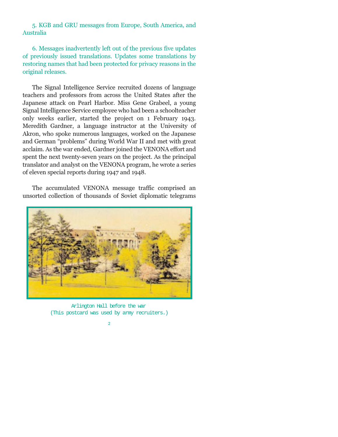5. KGB and GRU messages from Europe, South America, and Australia

6. Messages inadvertently left out of the previous five updates of previously issued translations. Updates some translations by restoring names that had been protected for privacy reasons in the original releases.

The Signal Intelligence Service recruited dozens of language teachers and professors from across the United States after the Japanese attack on Pearl Harbor. Miss Gene Grabeel, a young Signal Intelligence Service employee who had been a schoolteacher only weeks earlier, started the project on 1 February 1943. Meredith Gardner, a language instructor at the University of Akron, who spoke numerous languages, worked on the Japanese and German "problems" during World War II and met with great acclaim. As the war ended, Gardner joined the VENONA effort and spent the next twenty-seven years on the project. As the principal translator and analyst on the VENONA program, he wrote a series of eleven special reports during 1947 and 1948.

The accumulated VENONA message traffic comprised an unsorted collection of thousands of Soviet diplomatic telegrams



Arlington Hall before the war (This postcard was used by army recruiters.)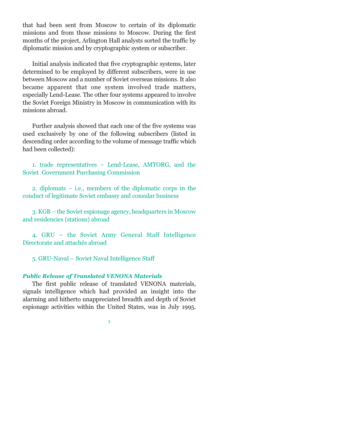that had been sent from Moscow to certain of its diplomatic missions and from those missions to Moscow. During the first months of the project, Arlington Hall analysts sorted the traffic by diplomatic mission and by cryptographic system or subscriber.

Initial analysis indicated that five cryptographic systems, later determined to be employed by different subscribers, were in use between Moscow and a number of Soviet overseas missions. It also became apparent that one system involved trade matters, especially Lend-Lease. The other four systems appeared to involve the Soviet Foreign Ministry in Moscow in communication with its missions abroad.

Further analysis showed that each one of the five systems was used exclusively by one of the following subscribers (listed in descending order according to the volume of message traffic which had been collected):

1. trade representatives Lend-Lease, AMTORG, and the Soviet Government Purchasing Commission

2. diplomats  $-$  i.e., members of the diplomatic corps in the conduct of legitimate Soviet embassy and consular business

3. KGB – the Soviet espionage agency, headquarters in Moscow and residencies (stations) abroad

4. GRU - the Soviet Army General Staff Intelligence Directorate and attachés abroad

5. GRU-Naval Soviet Naval Intelligence Staff

# *Public Release of Translated VENONA Materials*

The first public release of translated VENONA materials, signals intelligence which had provided an insight into the alarming and hitherto unappreciated breadth and depth of Soviet espionage activities within the United States, was in July 1995.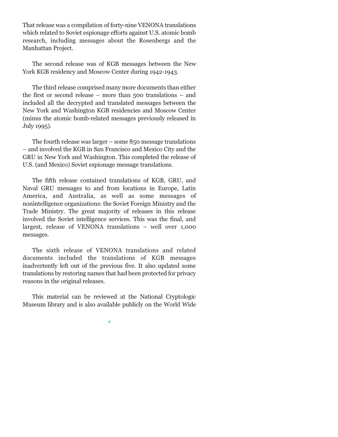That release was a compilation of forty-nine VENONA translations which related to Soviet espionage efforts against U.S. atomic bomb research, including messages about the Rosenbergs and the Manhattan Project.

The second release was of KGB messages between the New York KGB residency and Moscow Center during 1942-1943.

The third release comprised many more documents than either the first or second release  $-$  more than 500 translations  $-$  and included all the decrypted and translated messages between the New York and Washington KGB residencies and Moscow Center (minus the atomic bomb-related messages previously released in July 1995).

The fourth release was larger  $-$  some 850 message translations and involved the KGB in San Francisco and Mexico City and the GRU in New York and Washington. This completed the release of U.S. (and Mexico) Soviet espionage message translations.

The fifth release contained translations of KGB, GRU, and Naval GRU messages to and from locations in Europe, Latin America, and Australia, as well as some messages of nonintelligence organizations: the Soviet Foreign Ministry and the Trade Ministry. The great majority of releases in this release involved the Soviet intelligence services. This was the final, and largest, release of VENONA translations  $-$  well over 1,000 messages.

The sixth release of VENONA translations and related documents included the translations of KGB messages inadvertently left out of the previous five. It also updated some translations by restoring names that had been protected for privacy reasons in the original releases.

This material can be reviewed at the National Cryptologic Museum library and is also available publicly on the World Wide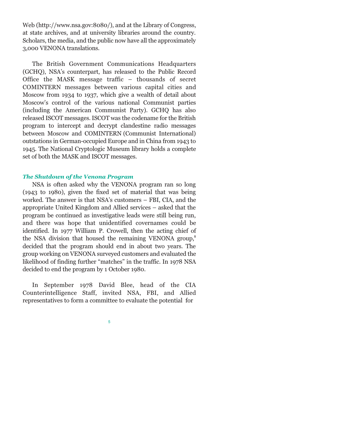Web (http://www.nsa.gov:8080/), and at the Library of Congress, at state archives, and at university libraries around the country. Scholars, the media, and the public now have all the approximately 3,000 VENONA translations.

The British Government Communications Headquarters (GCHQ), NSA's counterpart, has released to the Public Record Office the MASK message traffic  $-$  thousands of secret COMINTERN messages between various capital cities and Moscow from 1934 to 1937, which give a wealth of detail about Moscows control of the various national Communist parties (including the American Communist Party). GCHQ has also released ISCOT messages. ISCOT was the codename for the British program to intercept and decrypt clandestine radio messages between Moscow and COMINTERN (Communist International) outstations in German-occupied Europe and in China from 1943 to 1945. The National Cryptologic Museum library holds a complete set of both the MASK and ISCOT messages.

# *The Shutdown of the Venona Program*

NSA is often asked why the VENONA program ran so long (1943 to 1980), given the fixed set of material that was being worked. The answer is that NSA's customers - FBI, CIA, and the appropriate United Kingdom and Allied services asked that the program be continued as investigative leads were still being run, and there was hope that unidentified covernames could be identified. In 1977 William P. Crowell, then the acting chief of the NSA division that housed the remaining VENONA group,**<sup>1</sup>** decided that the program should end in about two years. The group working on VENONA surveyed customers and evaluated the likelihood of finding further "matches" in the traffic. In 1978 NSA decided to end the program by 1 October 1980.

In September 1978 David Blee, head of the CIA Counterintelligence Staff, invited NSA, FBI, and Allied representatives to form a committee to evaluate the potential for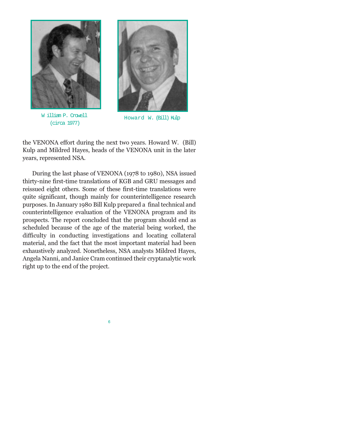

W illiam P. Crowell (circa 1977)



Howard W. (Bill) Kulp

the VENONA effort during the next two years. Howard W. (Bill) Kulp and Mildred Hayes, heads of the VENONA unit in the later years, represented NSA.

During the last phase of VENONA (1978 to 1980), NSA issued thirty-nine first-time translations of KGB and GRU messages and reissued eight others. Some of these first-time translations were quite significant, though mainly for counterintelligence research purposes. In January 1980 Bill Kulp prepared a final technical and counterintelligence evaluation of the VENONA program and its prospects. The report concluded that the program should end as scheduled because of the age of the material being worked, the difficulty in conducting investigations and locating collateral material, and the fact that the most important material had been exhaustively analyzed. Nonetheless, NSA analysts Mildred Hayes, Angela Nanni, and Janice Cram continued their cryptanalytic work right up to the end of the project.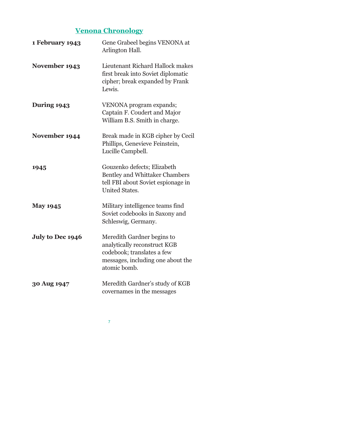# **Venona Chronology**

| 1 February 1943    | Gene Grabeel begins VENONA at<br>Arlington Hall.                                                                                              |
|--------------------|-----------------------------------------------------------------------------------------------------------------------------------------------|
| November 1943      | Lieutenant Richard Hallock makes<br>first break into Soviet diplomatic<br>cipher; break expanded by Frank<br>Lewis.                           |
| <b>During 1943</b> | VENONA program expands;<br>Captain F. Coudert and Major<br>William B.S. Smith in charge.                                                      |
| November 1944      | Break made in KGB cipher by Cecil<br>Phillips, Genevieve Feinstein,<br>Lucille Campbell.                                                      |
| 1945               | Gouzenko defects; Elizabeth<br><b>Bentley and Whittaker Chambers</b><br>tell FBI about Soviet espionage in<br><b>United States.</b>           |
| <b>May 1945</b>    | Military intelligence teams find<br>Soviet codebooks in Saxony and<br>Schleswig, Germany.                                                     |
| July to Dec 1946   | Meredith Gardner begins to<br>analytically reconstruct KGB<br>codebook; translates a few<br>messages, including one about the<br>atomic bomb. |
| 30 Aug 1947        | Meredith Gardner's study of KGB<br>covernames in the messages                                                                                 |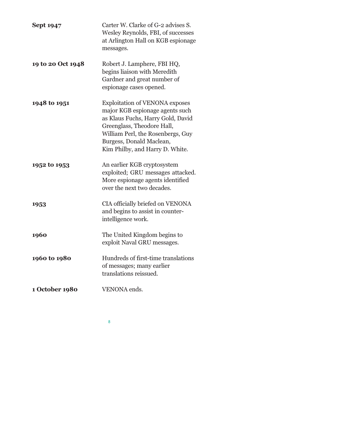| <b>Sept 1947</b>  | Carter W. Clarke of G-2 advises S.<br>Wesley Reynolds, FBI, of successes<br>at Arlington Hall on KGB espionage<br>messages.                                                                                                                     |
|-------------------|-------------------------------------------------------------------------------------------------------------------------------------------------------------------------------------------------------------------------------------------------|
| 19 to 20 Oct 1948 | Robert J. Lamphere, FBI HQ,<br>begins liaison with Meredith<br>Gardner and great number of<br>espionage cases opened.                                                                                                                           |
| 1948 to 1951      | <b>Exploitation of VENONA exposes</b><br>major KGB espionage agents such<br>as Klaus Fuchs, Harry Gold, David<br>Greenglass, Theodore Hall,<br>William Perl, the Rosenbergs, Guy<br>Burgess, Donald Maclean,<br>Kim Philby, and Harry D. White. |
| 1952 to 1953      | An earlier KGB cryptosystem<br>exploited; GRU messages attacked.<br>More espionage agents identified<br>over the next two decades.                                                                                                              |
| 1953              | CIA officially briefed on VENONA<br>and begins to assist in counter-<br>intelligence work.                                                                                                                                                      |
| 1960              | The United Kingdom begins to<br>exploit Naval GRU messages.                                                                                                                                                                                     |
| 1960 to 1980      | Hundreds of first-time translations<br>of messages; many earlier<br>translations reissued.                                                                                                                                                      |
| 1 October 1980    | VENONA ends.                                                                                                                                                                                                                                    |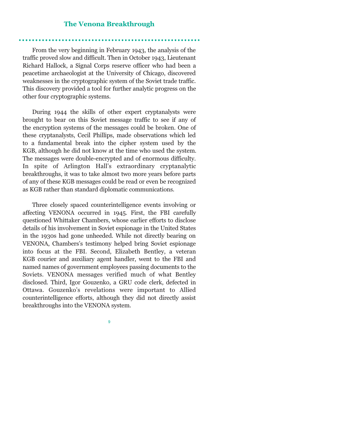# **The Venona Breakthrough**

From the very beginning in February 1943, the analysis of the traffic proved slow and difficult. Then in October 1943, Lieutenant Richard Hallock, a Signal Corps reserve officer who had been a peacetime archaeologist at the University of Chicago, discovered weaknesses in the cryptographic system of the Soviet trade traffic. This discovery provided a tool for further analytic progress on the other four cryptographic systems.

During 1944 the skills of other expert cryptanalysts were brought to bear on this Soviet message traffic to see if any of the encryption systems of the messages could be broken. One of these cryptanalysts, Cecil Phillips, made observations which led to a fundamental break into the cipher system used by the KGB, although he did not know at the time who used the system. The messages were double-encrypted and of enormous difficulty. In spite of Arlington Hall's extraordinary cryptanalytic breakthroughs, it was to take almost two more years before parts of any of these KGB messages could be read or even be recognized as KGB rather than standard diplomatic communications.

Three closely spaced counterintelligence events involving or affecting VENONA occurred in 1945. First, the FBI carefully questioned Whittaker Chambers, whose earlier efforts to disclose details of his involvement in Soviet espionage in the United States in the 1930s had gone unheeded. While not directly bearing on VENONA, Chambers's testimony helped bring Soviet espionage into focus at the FBI. Second, Elizabeth Bentley, a veteran KGB courier and auxiliary agent handler, went to the FBI and named names of government employees passing documents to the Soviets. VENONA messages verified much of what Bentley disclosed. Third, Igor Gouzenko, a GRU code clerk, defected in Ottawa. Gouzenko's revelations were important to Allied counterintelligence efforts, although they did not directly assist breakthroughs into the VENONA system.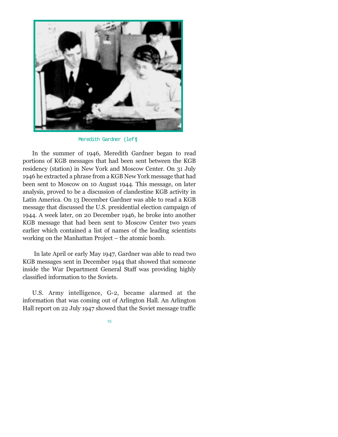

Meredith Gardner (left)

In the summer of 1946, Meredith Gardner began to read portions of KGB messages that had been sent between the KGB residency (station) in New York and Moscow Center. On 31 July 1946 he extracted a phrase from a KGB New York message that had been sent to Moscow on 10 August 1944. This message, on later analysis, proved to be a discussion of clandestine KGB activity in Latin America. On 13 December Gardner was able to read a KGB message that discussed the U.S. presidential election campaign of 1944. A week later, on 20 December 1946, he broke into another KGB message that had been sent to Moscow Center two years earlier which contained a list of names of the leading scientists working on the Manhattan Project  $-$  the atomic bomb.

In late April or early May 1947, Gardner was able to read two KGB messages sent in December 1944 that showed that someone inside the War Department General Staff was providing highly classified information to the Soviets.

U.S. Army intelligence, G-2, became alarmed at the information that was coming out of Arlington Hall. An Arlington Hall report on 22 July 1947 showed that the Soviet message traffic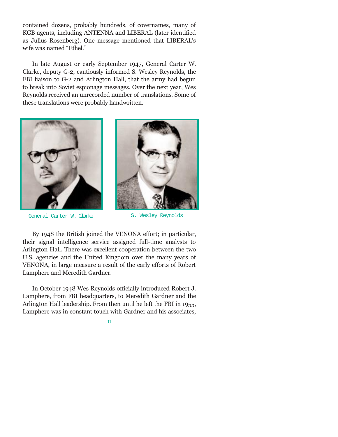contained dozens, probably hundreds, of covernames, many of KGB agents, including ANTENNA and LIBERAL (later identified as Julius Rosenberg). One message mentioned that LIBERAL's wife was named "Ethel."

In late August or early September 1947, General Carter W. Clarke, deputy G-2, cautiously informed S. Wesley Reynolds, the FBI liaison to G-2 and Arlington Hall, that the army had begun to break into Soviet espionage messages. Over the next year, Wes Reynolds received an unrecorded number of translations. Some of these translations were probably handwritten.



General Carter W. Clarke S. Wesley Reynolds



By 1948 the British joined the VENONA effort; in particular, their signal intelligence service assigned full-time analysts to Arlington Hall. There was excellent cooperation between the two U.S. agencies and the United Kingdom over the many years of VENONA, in large measure a result of the early efforts of Robert Lamphere and Meredith Gardner.

In October 1948 Wes Reynolds officially introduced Robert J. Lamphere, from FBI headquarters, to Meredith Gardner and the Arlington Hall leadership. From then until he left the FBI in 1955, Lamphere was in constant touch with Gardner and his associates,

11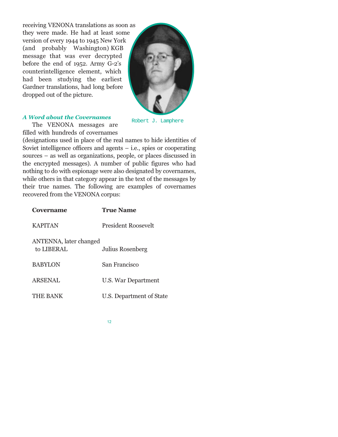receiving VENONA translations as soon as they were made. He had at least some version of every 1944 to 1945 New York (and probably Washington) KGB message that was ever decrypted before the end of 1952. Army G-2's counterintelligence element, which had been studying the earliest Gardner translations, had long before dropped out of the picture.



Robert J. Lamphere

The VENONA messages are filled with hundreds of covernames

(designations used in place of the real names to hide identities of Soviet intelligence officers and agents  $-$  i.e., spies or cooperating sources – as well as organizations, people, or places discussed in the encrypted messages). A number of public figures who had nothing to do with espionage were also designated by covernames, while others in that category appear in the text of the messages by their true names. The following are examples of covernames recovered from the VENONA corpus:

| Covername                            | <b>True Name</b>           |
|--------------------------------------|----------------------------|
| <b>KAPITAN</b>                       | <b>President Roosevelt</b> |
| ANTENNA, later changed<br>to LIBERAL | Julius Rosenberg           |
| <b>BABYLON</b>                       | San Francisco              |
| <b>ARSENAL</b>                       | U.S. War Department        |
| <b>THE BANK</b>                      | U.S. Department of State   |



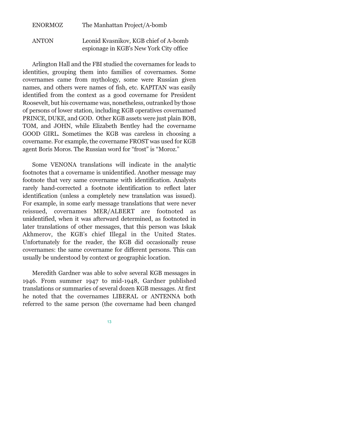| <b>ENORMOZ</b> | The Manhattan Project/A-bomb                                                     |
|----------------|----------------------------------------------------------------------------------|
| <b>ANTON</b>   | Leonid Kvasnikov, KGB chief of A-bomb<br>espionage in KGB's New York City office |

Arlington Hall and the FBI studied the covernames for leads to identities, grouping them into families of covernames. Some covernames came from mythology, some were Russian given names, and others were names of fish, etc. KAPITAN was easily identified from the context as a good covername for President Roosevelt, but his covername was, nonetheless, outranked by those of persons of lower station, including KGB operatives covernamed PRINCE, DUKE, and GOD. Other KGB assets were just plain BOB, TOM, and JOHN, while Elizabeth Bentley had the covername GOOD GIRL. Sometimes the KGB was careless in choosing a covername. For example, the covername FROST was used for KGB agent Boris Moros. The Russian word for "frost" is "Moroz."

Some VENONA translations will indicate in the analytic footnotes that a covername is unidentified. Another message may footnote that very same covername with identification. Analysts rarely hand-corrected a footnote identification to reflect later identification (unless a completely new translation was issued). For example, in some early message translations that were never reissued, covernames MER/ALBERT are footnoted as unidentified, when it was afterward determined, as footnoted in later translations of other messages, that this person was Iskak Akhmerov, the KGB's chief Illegal in the United States. Unfortunately for the reader, the KGB did occasionally reuse covernames: the same covername for different persons. This can usually be understood by context or geographic location.

Meredith Gardner was able to solve several KGB messages in 1946. From summer 1947 to mid-1948, Gardner published translations or summaries of several dozen KGB messages. At first he noted that the covernames LIBERAL or ANTENNA both referred to the same person (the covername had been changed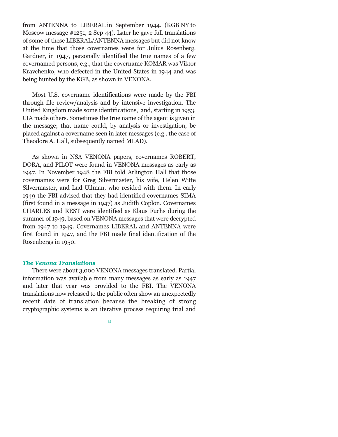from ANTENNA to LIBERAL in September 1944. (KGB NY to Moscow message #1251, 2 Sep 44). Later he gave full translations of some of these LIBERAL/ANTENNA messages but did not know at the time that those covernames were for Julius Rosenberg. Gardner, in 1947, personally identified the true names of a few covernamed persons, e.g., that the covername KOMAR was Viktor Kravchenko, who defected in the United States in 1944 and was being hunted by the KGB, as shown in VENONA.

Most U.S. covername identifications were made by the FBI through file review/analysis and by intensive investigation. The United Kingdom made some identifications, and, starting in 1953, CIA made others. Sometimes the true name of the agent is given in the message; that name could, by analysis or investigation, be placed against a covername seen in later messages (e.g., the case of Theodore A. Hall, subsequently named MLAD).

As shown in NSA VENONA papers, covernames ROBERT, DORA, and PILOT were found in VENONA messages as early as 1947. In November 1948 the FBI told Arlington Hall that those covernames were for Greg Silvermaster, his wife, Helen Witte Silvermaster, and Lud Ullman, who resided with them. In early 1949 the FBI advised that they had identified covernames SIMA (first found in a message in 1947) as Judith Coplon. Covernames CHARLES and REST were identified as Klaus Fuchs during the summer of 1949, based on VENONA messages that were decrypted from 1947 to 1949. Covernames LIBERAL and ANTENNA were first found in 1947, and the FBI made final identification of the Rosenbergs in 1950.

#### *The Venona Translations*

There were about 3,000 VENONA messages translated. Partial information was available from many messages as early as 1947 and later that year was provided to the FBI. The VENONA translations now released to the public often show an unexpectedly recent date of translation because the breaking of strong cryptographic systems is an iterative process requiring trial and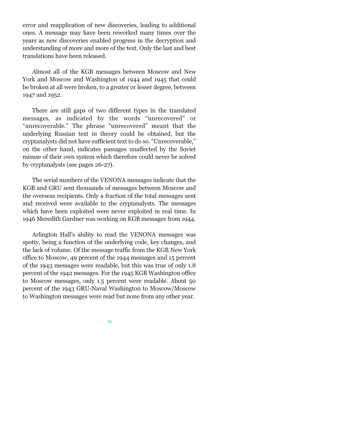error and reapplication of new discoveries, leading to additional ones. A message may have been reworked many times over the years as new discoveries enabled progress in the decryption and understanding of more and more of the text. Only the last and best translations have been released.

Almost all of the KGB messages between Moscow and New York and Moscow and Washington of 1944 and 1945 that could be broken at all were broken, to a greater or lesser degree, between 1947 and 1952.

There are still gaps of two different types in the translated messages, as indicated by the words "unrecovered" or "unrecoverable." The phrase "unrecovered" meant that the underlying Russian text in theory could be obtained, but the cryptanalysts did not have sufficient text to do so. "Unrecoverable," on the other hand, indicates passages unaffected by the Soviet misuse of their own system which therefore could never be solved by cryptanalysts (see pages 26-27).

The serial numbers of the VENONA messages indicate that the KGB and GRU sent thousands of messages between Moscow and the overseas recipients. Only a fraction of the total messages sent and received were available to the cryptanalysts. The messages which have been exploited were never exploited in real time. In 1946 Meredith Gardner was working on KGB messages from 1944.

Arlington Hall's ability to read the VENONA messages was spotty, being a function of the underlying code, key changes, and the lack of volume. Of the message traffic from the KGB New York office to Moscow, 49 percent of the 1944 messages and 15 percent of the 1943 messages were readable, but this was true of only 1.8 percent of the 1942 messages. For the 1945 KGB Washington office to Moscow messages, only 1.5 percent were readable. About 50 percent of the 1943 GRU-Naval Washington to Moscow/Moscow to Washington messages were read but none from any other year.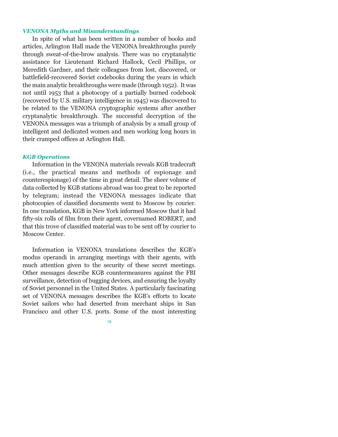# *VENONA Myths and Misunderstandings*

In spite of what has been written in a number of books and articles, Arlington Hall made the VENONA breakthroughs purely through sweat-of-the-brow analysis. There was no cryptanalytic assistance for Lieutenant Richard Hallock, Cecil Phillips, or Meredith Gardner, and their colleagues from lost, discovered, or battlefield-recovered Soviet codebooks during the years in which the main analytic breakthroughs were made (through 1952). It was not until 1953 that a photocopy of a partially burned codebook (recovered by U.S. military intelligence in 1945) was discovered to be related to the VENONA cryptographic systems after another cryptanalytic breakthrough. The successful decryption of the VENONA messages was a triumph of analysis by a small group of intelligent and dedicated women and men working long hours in their cramped offices at Arlington Hall.

#### *KGB Operations*

Information in the VENONA materials reveals KGB tradecraft (i.e., the practical means and methods of espionage and counterespionage) of the time in great detail. The sheer volume of data collected by KGB stations abroad was too great to be reported by telegram; instead the VENONA messages indicate that photocopies of classified documents went to Moscow by courier. In one translation, KGB in New York informed Moscow that it had fifty-six rolls of film from their agent, covernamed ROBERT, and that this trove of classified material was to be sent off by courier to Moscow Center.

Information in VENONA translations describes the KGB's modus operandi in arranging meetings with their agents, with much attention given to the security of these secret meetings. Other messages describe KGB countermeasures against the FBI surveillance, detection of bugging devices, and ensuring the loyalty of Soviet personnel in the United States. A particularly fascinating set of VENONA messages describes the KGB's efforts to locate Soviet sailors who had deserted from merchant ships in San Francisco and other U.S. ports. Some of the most interesting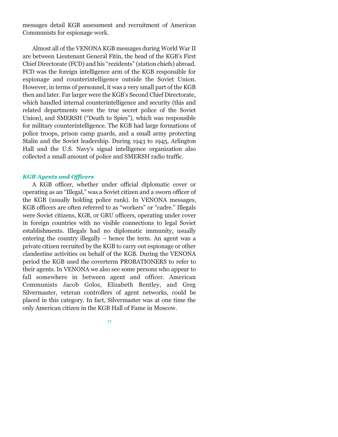messages detail KGB assessment and recruitment of American Communists for espionage work.

Almost all of the VENONA KGB messages during World War II are between Lieutenant General Fitin, the head of the KGB's First Chief Directorate (FCD) and his "rezidents" (station chiefs) abroad. FCD was the foreign intelligence arm of the KGB responsible for espionage and counterintelligence outside the Soviet Union. However, in terms of personnel, it was a very small part of the KGB then and later. Far larger were the KGB's Second Chief Directorate, which handled internal counterintelligence and security (this and related departments were the true secret police of the Soviet Union), and SMERSH ("Death to Spies"), which was responsible for military counterintelligence. The KGB had large formations of police troops, prison camp guards, and a small army protecting Stalin and the Soviet leadership. During 1943 to 1945, Arlington Hall and the U.S. Navys signal intelligence organization also collected a small amount of police and SMERSH radio traffic.

## *KGB Agents and Officers*

A KGB officer, whether under official diplomatic cover or operating as an "Illegal," was a Soviet citizen and a sworn officer of the KGB (usually holding police rank). In VENONA messages, KGB officers are often referred to as "workers" or "cadre." Illegals were Soviet citizens, KGB, or GRU officers, operating under cover in foreign countries with no visible connections to legal Soviet establishments. Illegals had no diplomatic immunity, usually entering the country illegally  $-$  hence the term. An agent was a private citizen recruited by the KGB to carry out espionage or other clandestine activities on behalf of the KGB. During the VENONA period the KGB used the coverterm PROBATIONERS to refer to their agents. In VENONA we also see some persons who appear to fall somewhere in between agent and officer. American Communists Jacob Golos, Elizabeth Bentley, and Greg Silvermaster, veteran controllers of agent networks, could be placed in this category. In fact, Silvermaster was at one time the only American citizen in the KGB Hall of Fame in Moscow.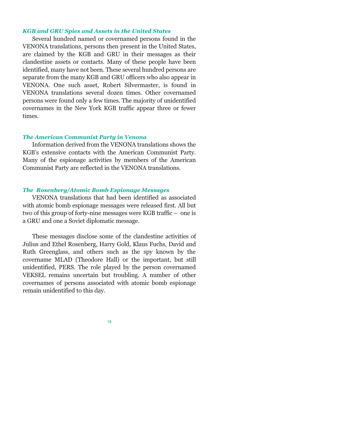# *KGB and GRU Spies and Assets in the United States*

Several hundred named or covernamed persons found in the VENONA translations, persons then present in the United States, are claimed by the KGB and GRU in their messages as their clandestine assets or contacts. Many of these people have been identified, many have not been. These several hundred persons are separate from the many KGB and GRU officers who also appear in VENONA. One such asset, Robert Silvermaster, is found in VENONA translations several dozen times. Other covernamed persons were found only a few times. The majority of unidentified covernames in the New York KGB traffic appear three or fewer times.

#### *The American Communist Party in Venona*

Information derived from the VENONA translations shows the KGB's extensive contacts with the American Communist Party. Many of the espionage activities by members of the American Communist Party are reflected in the VENONA translations.

# *The Rosenberg/Atomic Bomb Espionage Messages*

VENONA translations that had been identified as associated with atomic bomb espionage messages were released first. All but two of this group of forty-nine messages were KGB traffic  $-$  one is a GRU and one a Soviet diplomatic message.

These messages disclose some of the clandestine activities of Julius and Ethel Rosenberg, Harry Gold, Klaus Fuchs, David and Ruth Greenglass, and others such as the spy known by the covername MLAD (Theodore Hall) or the important, but still unidentified, PERS. The role played by the person covernamed VEKSEL remains uncertain but troubling. A number of other covernames of persons associated with atomic bomb espionage remain unidentified to this day.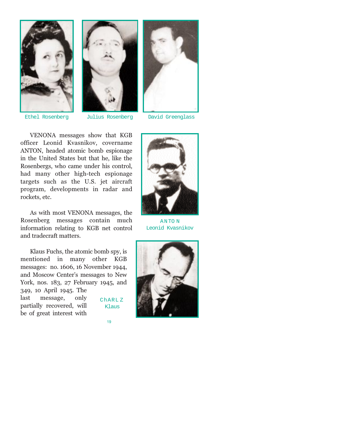





19

Ethel Rosenberg Julius Rosenberg David Greenglass

VENONA messages show that KGB officer Leonid Kvasnikov, covername ANTON, headed atomic bomb espionage in the United States but that he, like the Rosenbergs, who came under his control, had many other high-tech espionage targets such as the U.S. jet aircraft program, developments in radar and rockets, etc.

As with most VENONA messages, the Rosenberg messages contain much information relating to KGB net control and tradecraft matters.

Klaus Fuchs, the atomic bomb spy, is mentioned in many other KGB messages: no. 1606, 16 November 1944, and Moscow Center's messages to New York, nos. 183, 27 February 1945, and 349, 10 April 1945. The last message, only partially recovered, will be of great interest with ChARL Z Klaus



A N TO N Leonid Kvasnikov

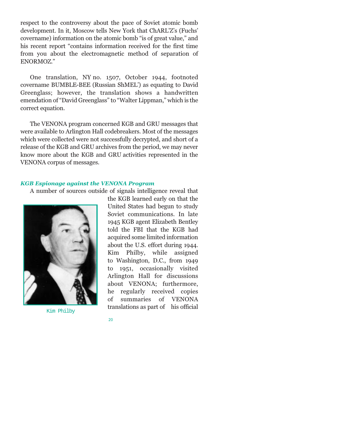respect to the controversy about the pace of Soviet atomic bomb development. In it, Moscow tells New York that ChARL'Z's (Fuchs' covername) information on the atomic bomb "is of great value," and his recent report "contains information received for the first time from you about the electromagnetic method of separation of ENORMOZ.

One translation, NY no. 1507, October 1944, footnoted covername BUMBLE-BEE (Russian ShMEL) as equating to David Greenglass; however, the translation shows a handwritten emendation of "David Greenglass" to "Walter Lippman," which is the correct equation.

The VENONA program concerned KGB and GRU messages that were available to Arlington Hall codebreakers. Most of the messages which were collected were not successfully decrypted, and short of a release of the KGB and GRU archives from the period, we may never know more about the KGB and GRU activities represented in the VENONA corpus of messages.

# *KGB Espionage against the VENONA Program*

A number of sources outside of signals intelligence reveal that



Kim Philby

the KGB learned early on that the United States had begun to study Soviet communications. In late 1945 KGB agent Elizabeth Bentley told the FBI that the KGB had acquired some limited information about the U.S. effort during 1944. Kim Philby, while assigned to Washington, D.C., from 1949 to 1951, occasionally visited Arlington Hall for discussions about VENONA; furthermore, he regularly received copies of summaries of VENONA translations as part of his official

$$
\boldsymbol{20}
$$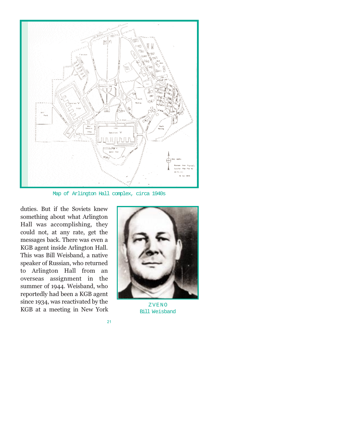

Map of Arlington Hall complex, circa 1940s

duties. But if the Soviets knew something about what Arlington Hall was accomplishing, they could not, at any rate, get the messages back. There was even a KGB agent inside Arlington Hall. This was Bill Weisband, a native speaker of Russian, who returned to Arlington Hall from an overseas assignment in the summer of 1944. Weisband, who reportedly had been a KGB agent since 1934, was reactivated by the KGB at a meeting in New York



ZVENO Bill Weisband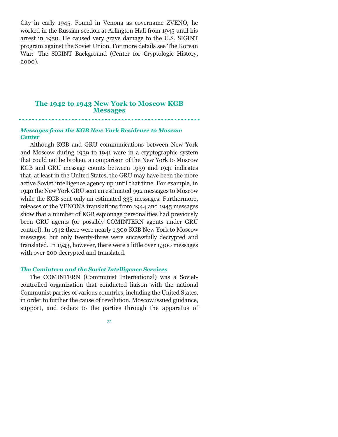City in early 1945. Found in Venona as covername ZVENO, he worked in the Russian section at Arlington Hall from 1945 until his arrest in 1950. He caused very grave damage to the U.S. SIGINT program against the Soviet Union. For more details see The Korean War: The SIGINT Background (Center for Cryptologic History, 2000).

# **The 1942 to 1943 New York to Moscow KGB Messages**

# *Messages from the KGB New York Residence to Moscow Center*

Although KGB and GRU communications between New York and Moscow during 1939 to 1941 were in a cryptographic system that could not be broken, a comparison of the New York to Moscow KGB and GRU message counts between 1939 and 1941 indicates that, at least in the United States, the GRU may have been the more active Soviet intelligence agency up until that time. For example, in 1940 the New York GRU sent an estimated 992 messages to Moscow while the KGB sent only an estimated 335 messages. Furthermore, releases of the VENONA translations from 1944 and 1945 messages show that a number of KGB espionage personalities had previously been GRU agents (or possibly COMINTERN agents under GRU control). In 1942 there were nearly 1,300 KGB New York to Moscow messages, but only twenty-three were successfully decrypted and translated. In 1943, however, there were a little over 1,300 messages with over 200 decrypted and translated.

#### *The Comintern and the Soviet Intelligence Services*

The COMINTERN (Communist International) was a Sovietcontrolled organization that conducted liaison with the national Communist parties of various countries, including the United States, in order to further the cause of revolution. Moscow issued guidance, support, and orders to the parties through the apparatus of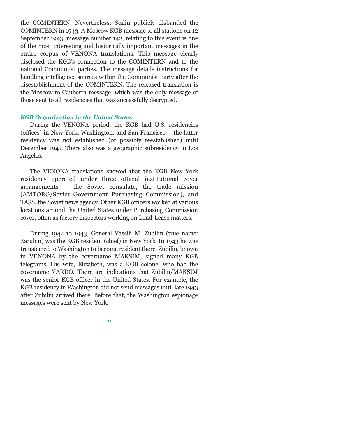the COMINTERN. Nevertheless, Stalin publicly disbanded the COMINTERN in 1943. A Moscow KGB message to all stations on 12 September 1943, message number 142, relating to this event is one of the most interesting and historically important messages in the entire corpus of VENONA translations. This message clearly disclosed the KGB's connection to the COMINTERN and to the national Communist parties. The message details instructions for handling intelligence sources within the Communist Party after the disestablishment of the COMINTERN. The released translation is the Moscow to Canberra message, which was the only message of those sent to all residencies that was successfully decrypted.

# *KGB Organization in the United States*

During the VENONA period, the KGB had U.S. residencies (offices) in New York, Washington, and San Francisco – the latter residency was not established (or possibly reestablished) until December 1941. There also was a geographic subresidency in Los Angeles.

The VENONA translations showed that the KGB New York residency operated under three official institutional cover  $arrangements - the Soviet consult the true, the trade mission$ (AMTORG/Soviet Government Purchasing Commission), and TASS, the Soviet news agency. Other KGB officers worked at various locations around the United States under Purchasing Commission cover, often as factory inspectors working on Lend-Lease matters.

During 1942 to 1943, General Vassili M. Zubilin (true name: Zarubin) was the KGB resident (chief) in New York. In 1943 he was transferred to Washington to become resident there. Zubilin, known in VENONA by the covername MAKSIM, signed many KGB telegrams. His wife, Elizabeth, was a KGB colonel who had the covername VARDO. There are indications that Zubilin/MAKSIM was the senior KGB officer in the United States. For example, the KGB residency in Washington did not send messages until late 1943 after Zubilin arrived there. Before that, the Washington espionage messages were sent by New York.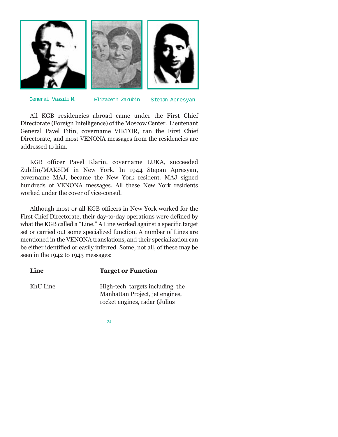

General Vassili M. Elizabeth Zarubin Stepan Apresyan

All KGB residencies abroad came under the First Chief Directorate (Foreign Intelligence) of the Moscow Center. Lieutenant General Pavel Fitin, covername VIKTOR, ran the First Chief Directorate, and most VENONA messages from the residencies are addressed to him.

KGB officer Pavel Klarin, covername LUKA, succeeded Zubilin/MAKSIM in New York. In 1944 Stepan Apresyan, covername MAJ, became the New York resident. MAJ signed hundreds of VENONA messages. All these New York residents worked under the cover of vice-consul.

Although most or all KGB officers in New York worked for the First Chief Directorate, their day-to-day operations were defined by what the KGB called a "Line." A Line worked against a specific target set or carried out some specialized function. A number of Lines are mentioned in the VENONA translations, and their specialization can be either identified or easily inferred. Some, not all, of these may be seen in the 1942 to 1943 messages:

| Line     | <b>Target or Function</b>                                          |
|----------|--------------------------------------------------------------------|
| KhU Line | High-tech targets including the<br>Manhattan Project, jet engines, |
|          | rocket engines, radar (Julius                                      |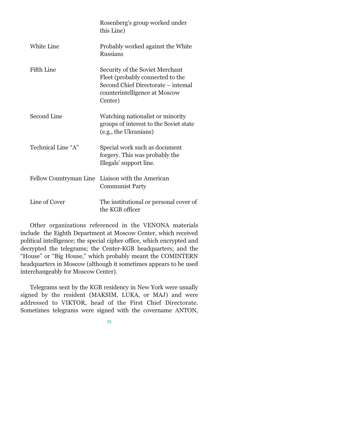|                        | Rosenberg's group worked under<br>this Line)                                                                                                          |
|------------------------|-------------------------------------------------------------------------------------------------------------------------------------------------------|
| <b>White Line</b>      | Probably worked against the White<br><b>Russians</b>                                                                                                  |
| Fifth Line             | Security of the Soviet Merchant<br>Fleet (probably connected to the<br>Second Chief Directorate – intemal<br>counterintelligence at Moscow<br>Center) |
| Second Line            | Watching nationalist or minority<br>groups of interest to the Soviet state<br>(e.g., the Ukranians)                                                   |
| Technical Line "A"     | Special work such as document<br>forgery. This was probably the<br>Illegals' support line.                                                            |
| Fellow Countryman Line | Liaison with the American<br><b>Communist Party</b>                                                                                                   |
| Line of Cover          | The institutional or personal cover of<br>the KGB officer                                                                                             |

Other organizations referenced in the VENONA materials include the Eighth Department at Moscow Center, which received political intelligence; the special cipher office, which encrypted and decrypted the telegrams; the Center-KGB headquarters; and the "House" or "Big House," which probably meant the COMINTERN headquarters in Moscow (although it sometimes appears to be used interchangeably for Moscow Center).

Telegrams sent by the KGB residency in New York were usually signed by the resident (MAKSIM, LUKA, or MAJ) and were addressed to VIKTOR, head of the First Chief Directorate. Sometimes telegrams were signed with the covername ANTON,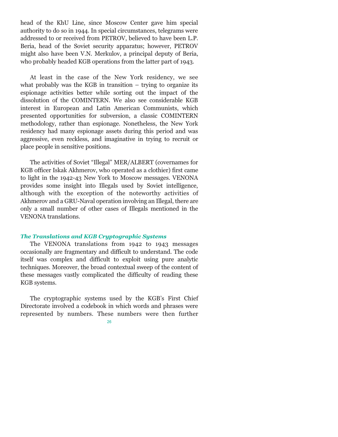head of the KhU Line, since Moscow Center gave him special authority to do so in 1944. In special circumstances, telegrams were addressed to or received from PETROV, believed to have been L.P. Beria, head of the Soviet security apparatus; however, PETROV might also have been V.N. Merkulov, a principal deputy of Beria, who probably headed KGB operations from the latter part of 1943.

At least in the case of the New York residency, we see what probably was the KGB in transition  $-$  trying to organize its espionage activities better while sorting out the impact of the dissolution of the COMINTERN. We also see considerable KGB interest in European and Latin American Communists, which presented opportunities for subversion, a classic COMINTERN methodology, rather than espionage. Nonetheless, the New York residency had many espionage assets during this period and was aggressive, even reckless, and imaginative in trying to recruit or place people in sensitive positions.

The activities of Soviet "Illegal" MER/ALBERT (covernames for KGB officer Iskak Akhmerov, who operated as a clothier) first came to light in the 1942-43 New York to Moscow messages. VENONA provides some insight into Illegals used by Soviet intelligence, although with the exception of the noteworthy activities of Akhmerov and a GRU-Naval operation involving an Illegal, there are only a small number of other cases of Illegals mentioned in the VENONA translations.

#### *The Translations and KGB Cryptographic Systems*

The VENONA translations from 1942 to 1943 messages occasionally are fragmentary and difficult to understand. The code itself was complex and difficult to exploit using pure analytic techniques. Moreover, the broad contextual sweep of the content of these messages vastly complicated the difficulty of reading these KGB systems.

The cryptographic systems used by the KGB's First Chief Directorate involved a codebook in which words and phrases were represented by numbers. These numbers were then further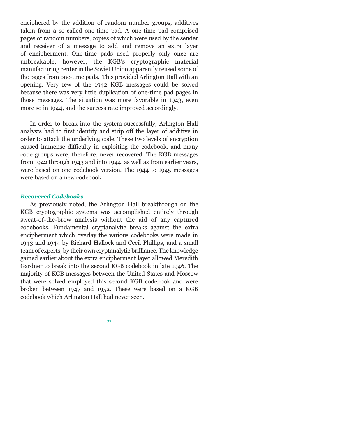enciphered by the addition of random number groups, additives taken from a so-called one-time pad. A one-time pad comprised pages of random numbers, copies of which were used by the sender and receiver of a message to add and remove an extra layer of encipherment. One-time pads used properly only once are unbreakable; however, the KGB's cryptographic material manufacturing center in the Soviet Union apparently reused some of the pages from one-time pads. This provided Arlington Hall with an opening. Very few of the 1942 KGB messages could be solved because there was very little duplication of one-time pad pages in those messages. The situation was more favorable in 1943, even more so in 1944, and the success rate improved accordingly.

In order to break into the system successfully, Arlington Hall analysts had to first identify and strip off the layer of additive in order to attack the underlying code. These two levels of encryption caused immense difficulty in exploiting the codebook, and many code groups were, therefore, never recovered. The KGB messages from 1942 through 1943 and into 1944, as well as from earlier years, were based on one codebook version. The 1944 to 1945 messages were based on a new codebook.

#### *Recovered Codebooks*

As previously noted, the Arlington Hall breakthrough on the KGB cryptographic systems was accomplished entirely through sweat-of-the-brow analysis without the aid of any captured codebooks. Fundamental cryptanalytic breaks against the extra encipherment which overlay the various codebooks were made in 1943 and 1944 by Richard Hallock and Cecil Phillips, and a small team of experts, by their own cryptanalytic brilliance. The knowledge gained earlier about the extra encipherment layer allowed Meredith Gardner to break into the second KGB codebook in late 1946. The majority of KGB messages between the United States and Moscow that were solved employed this second KGB codebook and were broken between 1947 and 1952. These were based on a KGB codebook which Arlington Hall had never seen.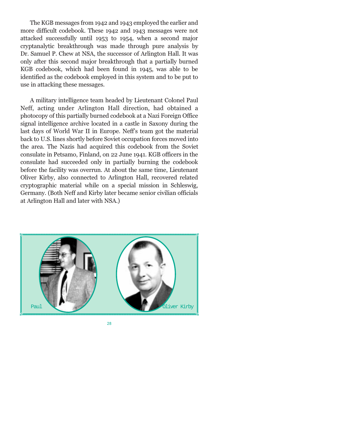The KGB messages from 1942 and 1943 employed the earlier and more difficult codebook. These 1942 and 1943 messages were not attacked successfully until 1953 to 1954, when a second major cryptanalytic breakthrough was made through pure analysis by Dr. Samuel P. Chew at NSA, the successor of Arlington Hall. It was only after this second major breakthrough that a partially burned KGB codebook, which had been found in 1945, was able to be identified as the codebook employed in this system and to be put to use in attacking these messages.

A military intelligence team headed by Lieutenant Colonel Paul Neff, acting under Arlington Hall direction, had obtained a photocopy of this partially burned codebook at a Nazi Foreign Office signal intelligence archive located in a castle in Saxony during the last days of World War II in Europe. Neffs team got the material back to U.S. lines shortly before Soviet occupation forces moved into the area. The Nazis had acquired this codebook from the Soviet consulate in Petsamo, Finland, on 22 June 1941. KGB officers in the consulate had succeeded only in partially burning the codebook before the facility was overrun. At about the same time, Lieutenant Oliver Kirby, also connected to Arlington Hall, recovered related cryptographic material while on a special mission in Schleswig, Germany. (Both Neff and Kirby later became senior civilian officials at Arlington Hall and later with NSA.)

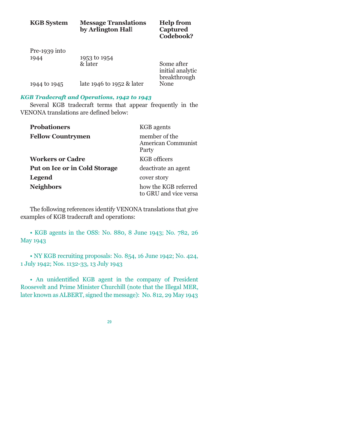| <b>KGB</b> System | <b>Message Translations</b><br>by Arlington Hall | <b>Help from</b><br>Captured<br>Codebook?      |
|-------------------|--------------------------------------------------|------------------------------------------------|
| $Pre-1939$ into   |                                                  |                                                |
| 1944              | 1953 to 1954                                     |                                                |
|                   | & later                                          | Some after<br>initial analytic<br>breakthrough |
| 1944 to 1945      | late 1946 to 1952 & later                        | None                                           |

# *KGB Tradecraft and Operations, 1942 to 1943*

Several KGB tradecraft terms that appear frequently in the VENONA translations are defined below:

| <b>Probationers</b>                  | <b>KGB</b> agents                             |
|--------------------------------------|-----------------------------------------------|
| <b>Fellow Countrymen</b>             | member of the<br>American Communist<br>Party  |
| <b>Workers or Cadre</b>              | KGB officers                                  |
| <b>Put on Ice or in Cold Storage</b> | deactivate an agent                           |
| <b>Legend</b>                        | cover story                                   |
| <b>Neighbors</b>                     | how the KGB referred<br>to GRU and vice versa |

The following references identify VENONA translations that give examples of KGB tradecraft and operations:

 KGB agents in the OSS: No. 880, 8 June 1943; No. 782, 26 May 1943

 NY KGB recruiting proposals: No. 854, 16 June 1942; No. 424, 1 July 1942; Nos. 1132-33, 13 July 1943

 An unidentified KGB agent in the company of President Roosevelt and Prime Minister Churchill (note that the Illegal MER, later known as ALBERT, signed the message): No. 812, 29 May 1943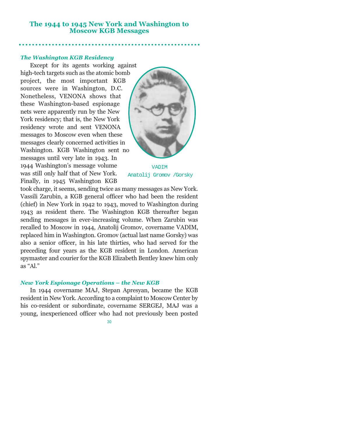# **The 1944 to 1945 New York and Washington to Moscow KGB Messages**

# *The Washington KGB Residency*

Except for its agents working against high-tech targets such as the atomic bomb project, the most important KGB sources were in Washington, D.C. Nonetheless, VENONA shows that these Washington-based espionage nets were apparently run by the New York residency; that is, the New York residency wrote and sent VENONA messages to Moscow even when these messages clearly concerned activities in Washington. KGB Washington sent no messages until very late in 1943. In 1944 Washington's message volume was still only half that of New York. Finally, in 1945 Washington KGB



VADIM Anatolij Gromov /Gorsky

took charge, it seems, sending twice as many messages as New York. Vassili Zarubin, a KGB general officer who had been the resident (chief) in New York in 1942 to 1943, moved to Washington during 1943 as resident there. The Washington KGB thereafter began sending messages in ever-increasing volume. When Zarubin was recalled to Moscow in 1944, Anatolij Gromov, covername VADIM, replaced him in Washington. Gromov (actual last name Gorsky) was also a senior officer, in his late thirties, who had served for the preceding four years as the KGB resident in London. American spymaster and courier for the KGB Elizabeth Bentley knew him only as "Al."

#### *New York Espionage Operations the New KGB*

In 1944 covername MAJ, Stepan Apresyan, became the KGB resident in New York. According to a complaint to Moscow Center by his co-resident or subordinate, covername SERGEJ, MAJ was a young, inexperienced officer who had not previously been posted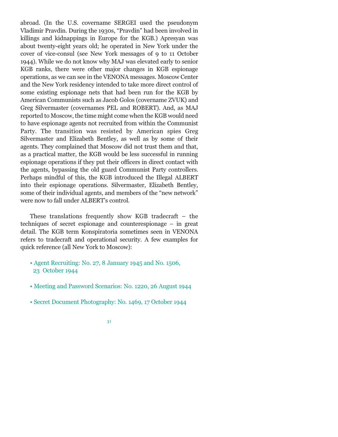abroad. (In the U.S. covername SERGEI used the pseudonym Vladimir Pravdin. During the 1930s, "Pravdin" had been involved in killings and kidnappings in Europe for the KGB.) Apresyan was about twenty-eight years old; he operated in New York under the cover of vice-consul (see New York messages of 9 to 11 October 1944). While we do not know why MAJ was elevated early to senior KGB ranks, there were other major changes in KGB espionage operations, as we can see in the VENONA messages. Moscow Center and the New York residency intended to take more direct control of some existing espionage nets that had been run for the KGB by American Communists such as Jacob Golos (covername ZVUK) and Greg Silvermaster (covernames PEL and ROBERT). And, as MAJ reported to Moscow, the time might come when the KGB would need to have espionage agents not recruited from within the Communist Party. The transition was resisted by American spies Greg Silvermaster and Elizabeth Bentley, as well as by some of their agents. They complained that Moscow did not trust them and that, as a practical matter, the KGB would be less successful in running espionage operations if they put their officers in direct contact with the agents, bypassing the old guard Communist Party controllers. Perhaps mindful of this, the KGB introduced the Illegal ALBERT into their espionage operations. Silvermaster, Elizabeth Bentley, some of their individual agents, and members of the "new network" were now to fall under ALBERT's control.

These translations frequently show KGB tradecraft  $-$  the techniques of secret espionage and counterespionage  $-$  in great detail. The KGB term Konspiratoria sometimes seen in VENONA refers to tradecraft and operational security. A few examples for quick reference (all New York to Moscow):

- Agent Recruiting: No. 27, 8 January 1945 and No. 1506, 23 October 1944
- Meeting and Password Scenarios: No. 1220, 26 August 1944
- Secret Document Photography: No. 1469, 17 October 1944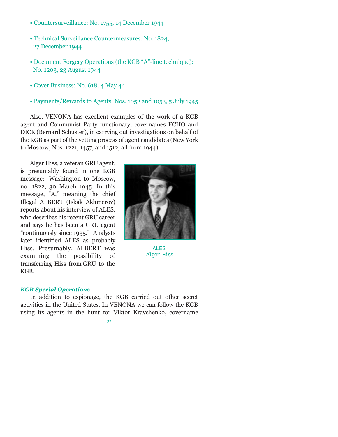- Countersurveillance: No. 1755, 14 December 1944
- Technical Surveillance Countermeasures: No. 1824, 27 December 1944
- Document Forgery Operations (the KGB "A"-line technique): No. 1203, 23 August 1944
- Cover Business: No. 618, 4 May 44
- Payments/Rewards to Agents: Nos. 1052 and 1053, 5 July 1945

Also, VENONA has excellent examples of the work of a KGB agent and Communist Party functionary, covernames ECHO and DICK (Bernard Schuster), in carrying out investigations on behalf of the KGB as part of the vetting process of agent candidates (New York to Moscow, Nos. 1221, 1457, and 1512, all from 1944).

Alger Hiss, a veteran GRU agent, is presumably found in one KGB message: Washington to Moscow, no. 1822, 30 March 1945. In this message, "A," meaning the chief Illegal ALBERT (Iskak Akhmerov) reports about his interview of ALES, who describes his recent GRU career and says he has been a GRU agent "continuously since 1935." Analysts later identified ALES as probably Hiss. Presumably, ALBERT was examining the possibility of transferring Hiss from GRU to the KGB.



**ALES** Alger Hiss

# *KGB Special Operations*

In addition to espionage, the KGB carried out other secret activities in the United States. In VENONA we can follow the KGB using its agents in the hunt for Viktor Kravchenko, covername

32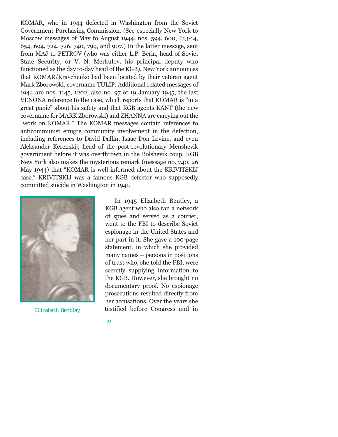KOMAR, who in 1944 defected in Washington from the Soviet Government Purchasing Commission. (See especially New York to Moscow messages of May to August 1944, nos. 594, 600, 613-14, 654, 694, 724, 726, 740, 799, and 907.) In the latter message, sent from MAJ to PETROV (who was either L.P. Beria, head of Soviet State Security, or V. N. Merkulov, his principal deputy who functioned as the day to-day head of the KGB), New York announces that KOMAR/Kravchenko had been located by their veteran agent Mark Zborowski, covername TULIP. Additional related messages of 1944 are nos. 1145, 1202, also no. 97 of 19 January 1945, the last VENONA reference to the case, which reports that KOMAR is "in a great panic" about his safety and that KGB agents KANT (the new covername for MARK Zborowski) and ZHANNA are carrying out the "work on KOMAR." The KOMAR messages contain references to anticommunist emigre community involvement in the defection, including references to David Dallin, Isaac Don Levine, and even Aleksander Kerenskij, head of the post-revolutionary Menshevik government before it was overthrown in the Bolshevik coup. KGB New York also makes the mysterious remark (message no. 740, 26 May 1944) that "KOMAR is well informed about the KRIVITSKIJ case." KRIVITSKIJ was a famous KGB defector who supposedly committed suicide in Washington in 1941.

33



In 1945 Elizabeth Bentley, a KGB agent who also ran a network of spies and served as a courier, went to the FBI to describe Soviet espionage in the United States and her part in it. She gave a 100-page statement, in which she provided  $m$ any names  $-$  persons in positions of trust who, she told the FBI, were secretly supplying information to the KGB. However, she brought no documentary proof. No espionage prosecutions resulted directly from her accusations. Over the years she Elizabeth Bentley testified before Congress and in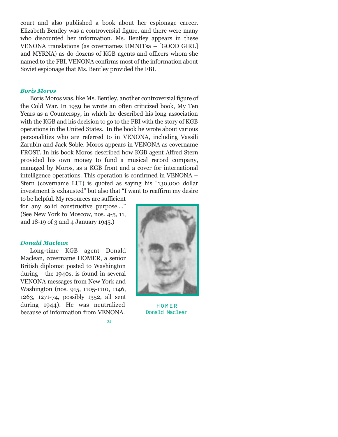court and also published a book about her espionage career. Elizabeth Bentley was a controversial figure, and there were many who discounted her information. Ms. Bentley appears in these VENONA translations (as covernames UMNITsa - [GOOD GIRL] and MYRNA) as do dozens of KGB agents and officers whom she named to the FBI. VENONA confirms most of the information about Soviet espionage that Ms. Bentley provided the FBI.

# *Boris Moros*

Boris Moros was, like Ms. Bentley, another controversial figure of the Cold War. In 1959 he wrote an often criticized book, My Ten Years as a Counterspy, in which he described his long association with the KGB and his decision to go to the FBI with the story of KGB operations in the United States. In the book he wrote about various personalities who are referred to in VENONA, including Vassili Zarubin and Jack Soble. Moros appears in VENONA as covername FROST. In his book Moros described how KGB agent Alfred Stern provided his own money to fund a musical record company, managed by Moros, as a KGB front and a cover for international intelligence operations. This operation is confirmed in VENONA Stern (covername LUI) is quoted as saying his "130,000 dollar investment is exhausted" but also that "I want to reaffirm my desire

34

to be helpful. My resources are sufficient for any solid constructive purpose...." (See New York to Moscow, nos. 4-5, 11, and 18-19 of 3 and 4 January 1945.)

#### *Donald Maclean*

Long-time KGB agent Donald Maclean, covername HOMER, a senior British diplomat posted to Washington during the 1940s, is found in several VENONA messages from New York and Washington (nos. 915, 1105-1110, 1146, 1263, 1271-74, possibly 1352, all sent during 1944). He was neutralized because of information from VENONA.



HOMER Donald Maclean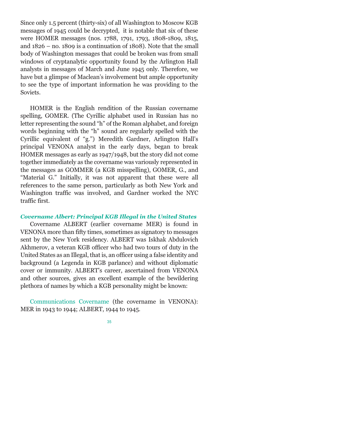Since only 1.5 percent (thirty-six) of all Washington to Moscow KGB messages of 1945 could be decrypted, it is notable that six of these were HOMER messages (nos. 1788, 1791, 1793, 1808-1809, 1815, and  $1826 -$  no. 1809 is a continuation of 1808). Note that the small body of Washington messages that could be broken was from small windows of cryptanalytic opportunity found by the Arlington Hall analysts in messages of March and June 1945 only. Therefore, we have but a glimpse of Maclean's involvement but ample opportunity to see the type of important information he was providing to the Soviets.

HOMER is the English rendition of the Russian covername spelling, GOMER. (The Cyrillic alphabet used in Russian has no letter representing the sound "h" of the Roman alphabet, and foreign words beginning with the "h" sound are regularly spelled with the Cyrillic equivalent of "g.") Meredith Gardner, Arlington Hall's principal VENONA analyst in the early days, began to break HOMER messages as early as 1947/1948, but the story did not come together immediately as the covername was variously represented in the messages as GOMMER (a KGB misspelling), GOMER, G., and "Material G." Initially, it was not apparent that these were all references to the same person, particularly as both New York and Washington traffic was involved, and Gardner worked the NYC traffic first.

# *Covername Albert: Principal KGB Illegal in the United States*

Covername ALBERT (earlier covername MER) is found in VENONA more than fifty times, sometimes as signatory to messages sent by the New York residency. ALBERT was Iskhak Abdulovich Akhmerov, a veteran KGB officer who had two tours of duty in the United States as an Illegal, that is, an officer using a false identity and background (a Legenda in KGB parlance) and without diplomatic cover or immunity. ALBERT's career, ascertained from VENONA and other sources, gives an excellent example of the bewildering plethora of names by which a KGB personality might be known:

Communications Covername (the covername in VENONA): MER in 1943 to 1944; ALBERT, 1944 to 1945.

<sup>35</sup>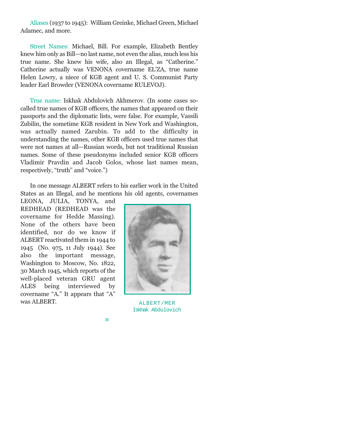Aliases (1937 to 1945): William Greinke, Michael Green, Michael Adamec, and more.

Street Names: Michael, Bill. For example, Elizabeth Bentley knew him only as Bill—no last name, not even the alias, much less his true name. She knew his wife, also an Illegal, as "Catherine." Catherine actually was VENONA covername EL'ZA, true name Helen Lowry, a niece of KGB agent and U. S. Communist Party leader Earl Browder (VENONA covername RULEVOJ).

True name: Iskhak Abdulovich Akhmerov. (In some cases socalled true names of KGB officers, the names that appeared on their passports and the diplomatic lists, were false. For example, Vassili Zubilin, the sometime KGB resident in New York and Washington, was actually named Zarubin. To add to the difficulty in understanding the names, other KGB officers used true names that were not names at all-Russian words, but not traditional Russian names. Some of these pseudonyms included senior KGB officers Vladimir Pravdin and Jacob Golos, whose last names mean, respectively, "truth" and "voice.")

In one message ALBERT refers to his earlier work in the United States as an Illegal, and he mentions his old agents, covernames

LEONA, JULIA, TONYA, and REDHEAD (REDHEAD was the covername for Hedde Massing). None of the others have been identified, nor do we know if ALBERT reactivated them in 1944 to 1945 (No. 975, 11 July 1944). See also the important message, Washington to Moscow, No. 1822, 30 March 1945, which reports of the well-placed veteran GRU agent ALES being interviewed by covername "A." It appears that "A" was ALBERT.



ALBERT/MER Iskhak Abdulovich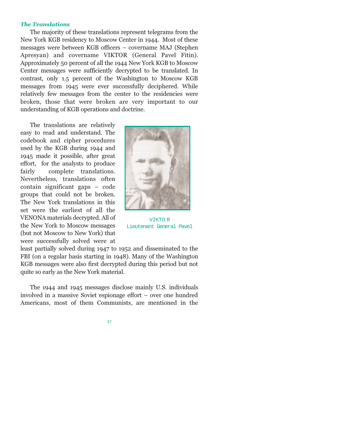#### *The Translations*

The majority of these translations represent telegrams from the New York KGB residency to Moscow Center in 1944. Most of these messages were between KGB officers – covername MAJ (Stephen Apresyan) and covername VIKTOR (General Pavel Fitin). Approximately 50 percent of all the 1944 New York KGB to Moscow Center messages were sufficiently decrypted to be translated. In contrast, only 1.5 percent of the Washington to Moscow KGB messages from 1945 were ever successfully deciphered. While relatively few messages from the center to the residencies were broken, those that were broken are very important to our understanding of KGB operations and doctrine.

The translations are relatively easy to read and understand. The codebook and cipher procedures used by the KGB during 1944 and 1945 made it possible, after great effort, for the analysts to produce fairly complete translations. Nevertheless, translations often  $\text{contain significant gaps} - \text{code}$ groups that could not be broken. The New York translations in this set were the earliest of all the VENONA materials decrypted. All of the New York to Moscow messages (but not Moscow to New York) that were successfully solved were at



VIKTO R Lieutenant General Pavel

least partially solved during 1947 to 1952 and disseminated to the FBI (on a regular basis starting in 1948). Many of the Washington KGB messages were also first decrypted during this period but not quite so early as the New York material.

The 1944 and 1945 messages disclose mainly U.S. individuals involved in a massive Soviet espionage effort  $-$  over one hundred Americans, most of them Communists, are mentioned in the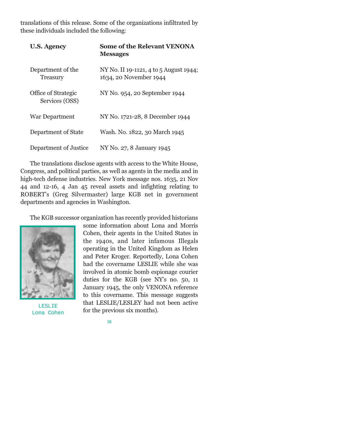translations of this release. Some of the organizations infiltrated by these individuals included the following:

| <b>U.S. Agency</b>                           | <b>Some of the Relevant VENONA</b><br><b>Messages</b>            |
|----------------------------------------------|------------------------------------------------------------------|
| Department of the<br>Treasury                | NY No. II 19-1121, 4 to 5 August 1944;<br>1634, 20 November 1944 |
| <b>Office of Strategic</b><br>Services (OSS) | NY No. 954, 20 September 1944                                    |
| <b>War Department</b>                        | NY No. 1721-28, 8 December 1944                                  |
| Department of State                          | Wash. No. 1822, 30 March 1945                                    |
| Department of Justice                        | NY No. 27, 8 January 1945                                        |

The translations disclose agents with access to the White House, Congress, and political parties, as well as agents in the media and in high-tech defense industries. New York message nos. 1635, 21 Nov 44 and 12-16, 4 Jan 45 reveal assets and infighting relating to ROBERTs (Greg Silvermaster) large KGB net in government departments and agencies in Washington.

The KGB successor organization has recently provided historians



LESLIE Lona Cohen

some information about Lona and Morris Cohen, their agents in the United States in the 1940s, and later infamous Illegals operating in the United Kingdom as Helen and Peter Kroger. Reportedly, Lona Cohen had the covername LESLIE while she was involved in atomic bomb espionage courier duties for the KGB (see NYs no. 50, 11 January 1945, the only VENONA reference to this covername. This message suggests that LESLIE/LESLEY had not been active for the previous six months).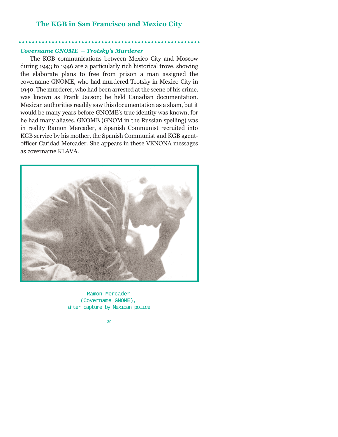# **The KGB in San Francisco and Mexico City**

#### **Covername GNOME - Trotsky's Murderer**

The KGB communications between Mexico City and Moscow during 1943 to 1946 are a particularly rich historical trove, showing the elaborate plans to free from prison a man assigned the covername GNOME, who had murdered Trotsky in Mexico City in 1940. The murderer, who had been arrested at the scene of his crime, was known as Frank Jacson; he held Canadian documentation. Mexican authorities readily saw this documentation as a sham, but it would be many years before GNOME's true identity was known, for he had many aliases. GNOME (GNOM in the Russian spelling) was in reality Ramon Mercader, a Spanish Communist recruited into KGB service by his mother, the Spanish Communist and KGB agentofficer Caridad Mercader. She appears in these VENONA messages as covername KLAVA.



Ramon Mercader (Covername GNOME), after capture by Mexican police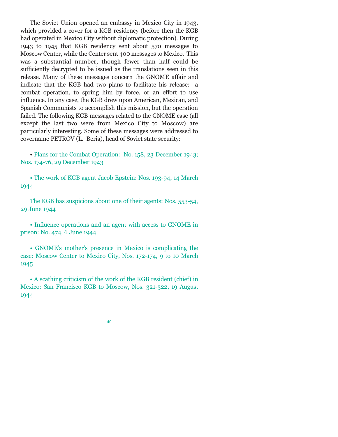The Soviet Union opened an embassy in Mexico City in 1943, which provided a cover for a KGB residency (before then the KGB had operated in Mexico City without diplomatic protection). During 1943 to 1945 that KGB residency sent about 570 messages to Moscow Center, while the Center sent 400 messages to Mexico. This was a substantial number, though fewer than half could be sufficiently decrypted to be issued as the translations seen in this release. Many of these messages concern the GNOME affair and indicate that the KGB had two plans to facilitate his release: a combat operation, to spring him by force, or an effort to use influence. In any case, the KGB drew upon American, Mexican, and Spanish Communists to accomplish this mission, but the operation failed. The following KGB messages related to the GNOME case (all except the last two were from Mexico City to Moscow) are particularly interesting. Some of these messages were addressed to covername PETROV (L. Beria), head of Soviet state security:

 Plans for the Combat Operation: No. 158, 23 December 1943; Nos. 174-76, 29 December 1943

• The work of KGB agent Jacob Epstein: Nos. 193-94, 14 March 1944

The KGB has suspicions about one of their agents: Nos. 553-54, 29 June 1944

 Influence operations and an agent with access to GNOME in prison: No. 474, 6 June 1944

• GNOME's mother's presence in Mexico is complicating the case: Moscow Center to Mexico City, Nos. 172-174, 9 to 10 March 1945

 A scathing criticism of the work of the KGB resident (chief) in Mexico: San Francisco KGB to Moscow, Nos. 321-322, 19 August 1944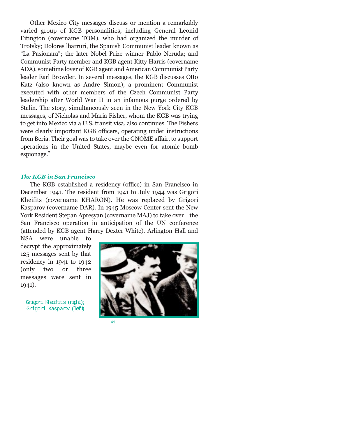Other Mexico City messages discuss or mention a remarkably varied group of KGB personalities, including General Leonid Eitington (covername TOM), who had organized the murder of Trotsky; Dolores lbarruri, the Spanish Communist leader known as "La Pasionara"; the later Nobel Prize winner Pablo Neruda; and Communist Party member and KGB agent Kitty Harris (covername ADA), sometime lover of KGB agent and American Communist Party leader Earl Browder. In several messages, the KGB discusses Otto Katz (also known as Andre Simon), a prominent Communist executed with other members of the Czech Communist Party leadership after World War II in an infamous purge ordered by Stalin. The story, simultaneously seen in the New York City KGB messages, of Nicholas and Maria Fisher, whom the KGB was trying to get into Mexico via a U.S. transit visa, also continues. The Fishers were clearly important KGB officers, operating under instructions from Beria. Their goal was to take over the GNOME affair, to support operations in the United States, maybe even for atomic bomb espionage.**<sup>2</sup>**

#### *The KGB in San Francisco*

The KGB established a residency (office) in San Francisco in December 1941. The resident from 1941 to July 1944 was Grigori Kheifits (covername KHARON). He was replaced by Grigori Kasparov (covername DAR). In 1945 Moscow Center sent the New York Resident Stepan Apresyan (covername MAJ) to take over the San Francisco operation in anticipation of the UN conference (attended by KGB agent Harry Dexter White). Arlington Hall and

NSA were unable to decrypt the approximately 125 messages sent by that residency in 1941 to 1942 (only two or three messages were sent in 1941).

Grigori Kheifits (right); Grigori Kasparov (left)



41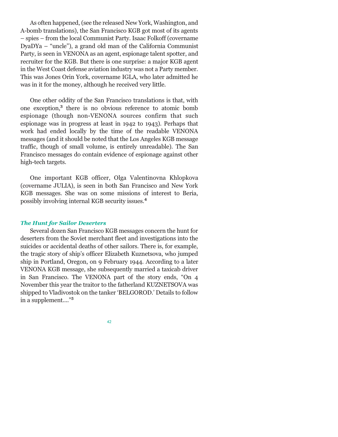As often happened, (see the released New York, Washington, and A-bomb translations), the San Francisco KGB got most of its agents spies from the local Communist Party. Isaac Folkoff (covername  $DvaDYa - "uncle"), a grand old man of the California Communist$ Party, is seen in VENONA as an agent, espionage talent spotter, and recruiter for the KGB. But there is one surprise: a major KGB agent in the West Coast defense aviation industry was not a Party member. This was Jones Orin York, covername IGLA, who later admitted he was in it for the money, although he received very little.

One other oddity of the San Francisco translations is that, with one exception,**<sup>3</sup>** there is no obvious reference to atomic bomb espionage (though non-VENONA sources confirm that such espionage was in progress at least in 1942 to 1943). Perhaps that work had ended locally by the time of the readable VENONA messages (and it should be noted that the Los Angeles KGB message traffic, though of small volume, is entirely unreadable). The San Francisco messages do contain evidence of espionage against other high-tech targets.

One important KGB officer, Olga Valentinovna Khlopkova (covername JULIA), is seen in both San Francisco and New York KGB messages. She was on some missions of interest to Beria, possibly involving internal KGB security issues.**<sup>4</sup>**

#### *The Hunt for Sailor Deserters*

Several dozen San Francisco KGB messages concern the hunt for deserters from the Soviet merchant fleet and investigations into the suicides or accidental deaths of other sailors. There is, for example, the tragic story of ship's officer Elizabeth Kuznetsova, who jumped ship in Portland, Oregon, on 9 February 1944. According to a later VENONA KGB message, she subsequently married a taxicab driver in San Francisco. The VENONA part of the story ends, "On 4 November this year the traitor to the fatherland KUZNETSOVA was shipped to Vladivostok on the tanker 'BELGOROD.' Details to follow in a supplement....<sup>"5</sup>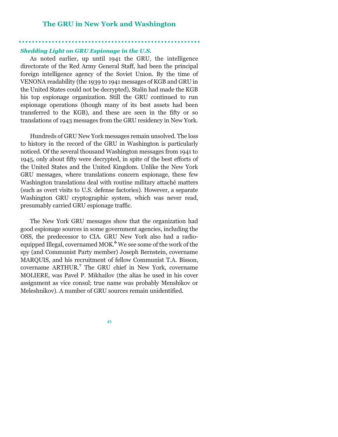# **The GRU in New York and Washington**

#### *Shedding Light on GRU Espionage in the U.S.*

As noted earlier, up until 1941 the GRU, the intelligence directorate of the Red Army General Staff, had been the principal foreign intelligence agency of the Soviet Union. By the time of VENONA readability (the 1939 to 1941 messages of KGB and GRU in the United States could not be decrypted), Stalin had made the KGB his top espionage organization. Still the GRU continued to run espionage operations (though many of its best assets had been transferred to the KGB), and these are seen in the fifty or so translations of 1943 messages from the GRU residency in New York.

Hundreds of GRU New York messages remain unsolved. The loss to history in the record of the GRU in Washington is particularly noticed. Of the several thousand Washington messages from 1941 to 1945, only about fifty were decrypted, in spite of the best efforts of the United States and the United Kingdom. Unlike the New York GRU messages, where translations concern espionage, these few Washington translations deal with routine military attaché matters (such as overt visits to U.S. defense factories). However, a separate Washington GRU cryptographic system, which was never read, presumably carried GRU espionage traffic.

The New York GRU messages show that the organization had good espionage sources in some government agencies, including the OSS, the predecessor to CIA. GRU New York also had a radioequipped Illegal, covernamed MOK.**<sup>6</sup>** We see some of the work of the spy (and Communist Party member) Joseph Bernstein, covername MARQUIS, and his recruitment of fellow Communist T.A. Bisson, covername ARTHUR.**<sup>7</sup>** The GRU chief in New York, covername MOLIERE, was Pavel P. Mikhailov (the alias he used in his cover assignment as vice consul; true name was probably Menshikov or Meleshnikov). A number of GRU sources remain unidentified.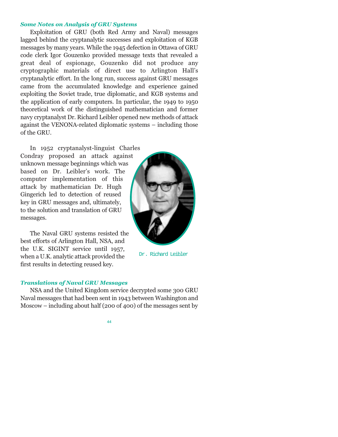# *Some Notes on Analysis of GRU Systems*

Exploitation of GRU (both Red Army and Naval) messages lagged behind the cryptanalytic successes and exploitation of KGB messages by many years. While the 1945 defection in Ottawa of GRU code clerk Igor Gouzenko provided message texts that revealed a great deal of espionage, Gouzenko did not produce any cryptographic materials of direct use to Arlington Hall's cryptanalytic effort. In the long run, success against GRU messages came from the accumulated knowledge and experience gained exploiting the Soviet trade, true diplomatic, and KGB systems and the application of early computers. In particular, the 1949 to 1950 theoretical work of the distinguished mathematician and former navy cryptanalyst Dr. Richard Leibler opened new methods of attack against the VENONA-related diplomatic systems – including those of the GRU.

In 1952 cryptanalyst-linguist Charles Condray proposed an attack against unknown message beginnings which was based on Dr. Leibler's work. The computer implementation of this attack by mathematician Dr. Hugh Gingerich led to detection of reused key in GRU messages and, ultimately, to the solution and translation of GRU messages.

The Naval GRU systems resisted the best efforts of Arlington Hall, NSA, and the U.K. SIGINT service until 1957, when a U.K. analytic attack provided the first results in detecting reused key.



Dr. Richard Leibler

#### *Translations of Naval GRU Messages*

NSA and the United Kingdom service decrypted some 300 GRU Naval messages that had been sent in 1943 between Washington and Moscow – including about half (200 of 400) of the messages sent by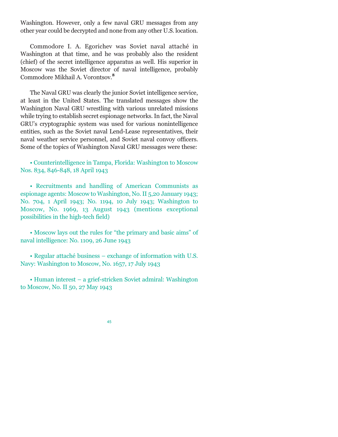Washington. However, only a few naval GRU messages from any other year could be decrypted and none from any other U.S. location.

Commodore I. A. Egorichev was Soviet naval attaché in Washington at that time, and he was probably also the resident (chief) of the secret intelligence apparatus as well. His superior in Moscow was the Soviet director of naval intelligence, probably Commodore Mikhail A. Vorontsov.**<sup>8</sup>**

The Naval GRU was clearly the junior Soviet intelligence service, at least in the United States. The translated messages show the Washington Naval GRU wrestling with various unrelated missions while trying to establish secret espionage networks. In fact, the Naval GRU's cryptographic system was used for various nonintelligence entities, such as the Soviet naval Lend-Lease representatives, their naval weather service personnel, and Soviet naval convoy officers. Some of the topics of Washington Naval GRU messages were these:

 Counterintelligence in Tampa, Florida: Washington to Moscow Nos. 834, 846-848, 18 April 1943

 Recruitments and handling of American Communists as espionage agents: Moscow to Washington, No. II 5,20 January 1943; No. 704, 1 April 1943; No. 1194, 10 July 1943; Washington to Moscow, No. 1969, 13 August 1943 (mentions exceptional possibilities in the high-tech field)

• Moscow lays out the rules for "the primary and basic aims" of naval intelligence: No. 1109, 26 June 1943

• Regular attaché business – exchange of information with U.S. Navy: Washington to Moscow, No. 1657, 17 July 1943

• Human interest – a grief-stricken Soviet admiral: Washington to Moscow, No. II 50, 27 May 1943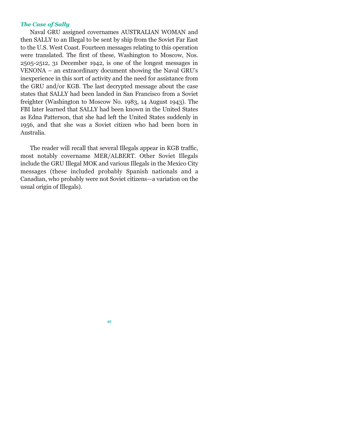#### *The Case of Sally*

Naval GRU assigned covernames AUSTRALIAN WOMAN and then SALLY to an Illegal to be sent by ship from the Soviet Far East to the U.S. West Coast. Fourteen messages relating to this operation were translated. The first of these, Washington to Moscow, Nos. 2505-2512, 31 December 1942, is one of the longest messages in  $VENONA - an extraordinary document showing the Naval GRU's$ inexperience in this sort of activity and the need for assistance from the GRU and/or KGB. The last decrypted message about the case states that SALLY had been landed in San Francisco from a Soviet freighter (Washington to Moscow No. 1983, 14 August 1943). The FBI later learned that SALLY had been known in the United States as Edna Patterson, that she had left the United States suddenly in 1956, and that she was a Soviet citizen who had been born in Australia.

The reader will recall that several Illegals appear in KGB traffic, most notably covername MER/ALBERT. Other Soviet Illegals include the GRU Illegal MOK and various Illegals in the Mexico City messages (these included probably Spanish nationals and a Canadian, who probably were not Soviet citizens—a variation on the usual origin of Illegals).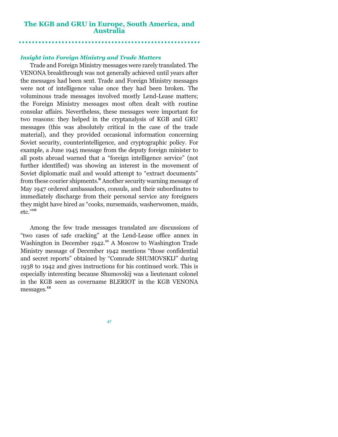# **The KGB and GRU in Europe, South America, and Australia**

#### *Insight into Foreign Ministry and Trade Matters*

Trade and Foreign Ministry messages were rarely translated. The VENONA breakthrough was not generally achieved until years after the messages had been sent. Trade and Foreign Ministry messages were not of intelligence value once they had been broken. The voluminous trade messages involved mostly Lend-Lease matters; the Foreign Ministry messages most often dealt with routine consular affairs. Nevertheless, these messages were important for two reasons: they helped in the cryptanalysis of KGB and GRU messages (this was absolutely critical in the case of the trade material), and they provided occasional information concerning Soviet security, counterintelligence, and cryptographic policy. For example, a June 1945 message from the deputy foreign minister to all posts abroad warned that a "foreign intelligence service" (not further identified) was showing an interest in the movement of Soviet diplomatic mail and would attempt to "extract documents" from these courier shipments.**<sup>9</sup>** Another security warning message of May 1947 ordered ambassadors, consuls, and their subordinates to immediately discharge from their personal service any foreigners they might have hired as "cooks, nursemaids, washerwomen, maids, etc."<sup>10</sup>

Among the few trade messages translated are discussions of "two cases of safe cracking" at the Lend-Lease office annex in Washington in December 1942.<sup>11</sup> A Moscow to Washington Trade Ministry message of December 1942 mentions "those confidential and secret reports" obtained by "Comrade SHUMOVSKIJ" during 1938 to 1942 and gives instructions for his continued work. This is especially interesting because Shumovskij was a lieutenant colonel in the KGB seen as covername BLERIOT in the KGB VENONA messages.**<sup>12</sup>**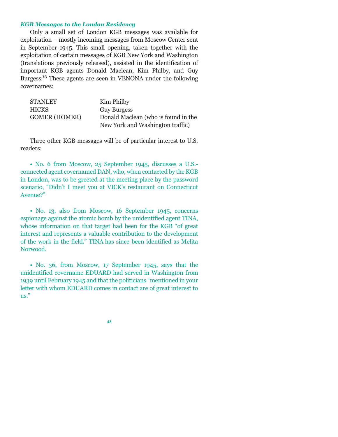#### *KGB Messages to the London Residency*

Only a small set of London KGB messages was available for exploitation – mostly incoming messages from Moscow Center sent in September 1945. This small opening, taken together with the exploitation of certain messages of KGB New York and Washington (translations previously released), assisted in the identification of important KGB agents Donald Maclean, Kim Philby, and Guy Burgess.**<sup>13</sup>** These agents are seen in VENONA under the following covernames:

| <b>STANLEY</b>       | Kim Philby                          |
|----------------------|-------------------------------------|
| <b>HICKS</b>         | <b>Guy Burgess</b>                  |
| <b>GOMER (HOMER)</b> | Donald Maclean (who is found in the |
|                      | New York and Washington traffic)    |

Three other KGB messages will be of particular interest to U.S. readers:

 No. 6 from Moscow, 25 September 1945, discusses a U.S. connected agent covernamed DAN, who, when contacted by the KGB in London, was to be greeted at the meeting place by the password scenario, "Didn't I meet you at VICK's restaurant on Connecticut Avenue?

 No. 13, also from Moscow, 16 September 1945, concerns espionage against the atomic bomb by the unidentified agent TINA, whose information on that target had been for the KGB "of great interest and represents a valuable contribution to the development of the work in the field." TINA has since been identified as Melita Norwood.

 No. 36, from Moscow, 17 September 1945, says that the unidentified covername EDUARD had served in Washington from 1939 until February 1945 and that the politicians "mentioned in your letter with whom EDUARD comes in contact are of great interest to us.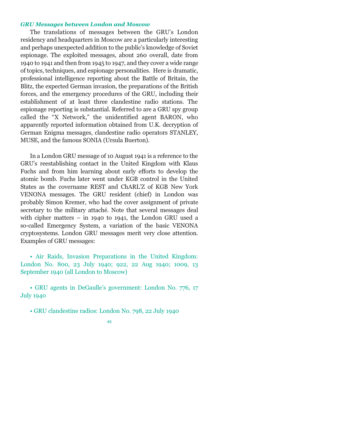#### *GRU Messages between London and Moscow*

The translations of messages between the GRU's London residency and headquarters in Moscow are a particularly interesting and perhaps unexpected addition to the public's knowledge of Soviet espionage. The exploited messages, about 260 overall, date from 1940 to 1941 and then from 1945 to 1947, and they cover a wide range of topics, techniques, and espionage personalities. Here is dramatic, professional intelligence reporting about the Battle of Britain, the Blitz, the expected German invasion, the preparations of the British forces, and the emergency procedures of the GRU, including their establishment of at least three clandestine radio stations. The espionage reporting is substantial. Referred to are a GRU spy group called the "X Network," the unidentified agent BARON, who apparently reported information obtained from U.K. decryption of German Enigma messages, clandestine radio operators STANLEY, MUSE, and the famous SONIA (Ursula Buerton).

In a London GRU message of 10 August 1941 is a reference to the GRU's reestablishing contact in the United Kingdom with Klaus Fuchs and from him learning about early efforts to develop the atomic bomb. Fuchs later went under KGB control in the United States as the covername REST and ChARL'Z of KGB New York VENONA messages. The GRU resident (chief) in London was probably Simon Kremer, who had the cover assignment of private secretary to the military attaché. Note that several messages deal with cipher matters  $-$  in 1940 to 1941, the London GRU used a so-called Emergency System, a variation of the basic VENONA cryptosystems. London GRU messages merit very close attention. Examples of GRU messages:

• Air Raids, Invasion Preparations in the United Kingdom: London No. 800, 23 July 1940; 922, 22 Aug 1940; 1009, 13 September 1940 (all London to Moscow)

• GRU agents in DeGaulle's government: London No. 776, 17 July 1940

GRU clandestine radios: London No. 798, 22 July 1940

<sup>49</sup>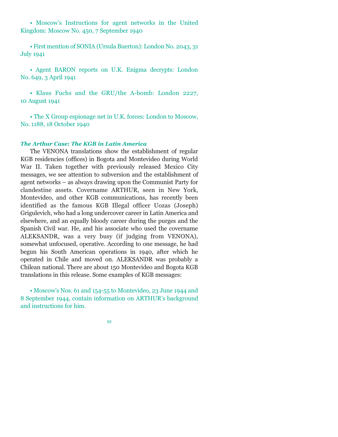• Moscow's Instructions for agent networks in the United Kingdom: Moscow No. 450, 7 September 1940

 First mention of SONIA (Ursula Buerton): London No. 2043, 31 July 1941

• Agent BARON reports on U.K. Enigma decrypts: London No. 649, 3 April 1941

 Klaus Fuchs and the GRU/the A-bomb: London 2227, 10 August 1941

 The X Group espionage net in U.K. forces: London to Moscow, No. 1188, 18 October 1940

#### *The Arthur Case: The KGB in Latin America*

The VENONA translations show the establishment of regular KGB residencies (offices) in Bogota and Montevideo during World War II. Taken together with previously released Mexico City messages, we see attention to subversion and the establishment of agent networks – as always drawing upon the Communist Party for clandestine assets. Covername ARTHUR, seen in New York, Montevideo, and other KGB communications, has recently been identified as the famous KGB Illegal officer Uozas (Joseph) Grigulevich, who had a long undercover career in Latin America and elsewhere, and an equally bloody career during the purges and the Spanish Civil war. He, and his associate who used the covername ALEKSANDR, was a very busy (if judging from VENONA), somewhat unfocused, operative. According to one message, he had begun his South American operations in 1940, after which he operated in Chile and moved on. ALEKSANDR was probably a Chilean national. There are about 150 Montevideo and Bogota KGB translations in this release. Some examples of KGB messages:

• Moscow's Nos. 61 and 154-55 to Montevideo, 23 June 1944 and 8 September 1944, contain information on ARTHUR's background and instructions for him.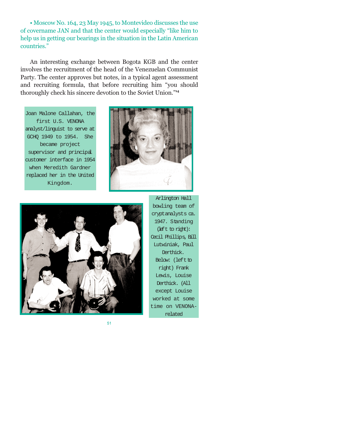Moscow No. 164, 23 May 1945, to Montevideo discusses the use of covername JAN and that the center would especially "like him to help us in getting our bearings in the situation in the Latin American countries.

An interesting exchange between Bogota KGB and the center involves the recruitment of the head of the Venezuelan Communist Party. The center approves but notes, in a typical agent assessment and recruiting formula, that before recruiting him "you should thoroughly check his sincere devotion to the Soviet Union.**<sup>14</sup>**

Joan Malone Callahan, the first U.S. VENONA analyst/linguist to serve at GCHQ 1949 to 1954. She became project supervisor and principal customer interface in 1954 when Meredith Gardner replaced her in the United Kingdom.





Arlington Hall bowling team of cryptanalysts ca. 1947. Standing (left to right): Cecil Phillips, Bill Lutwiniak, Paul Derthick. Below: (left to right) Frank Lewis, Louise Derthick. (All except Louise worked at some time on VENONArelated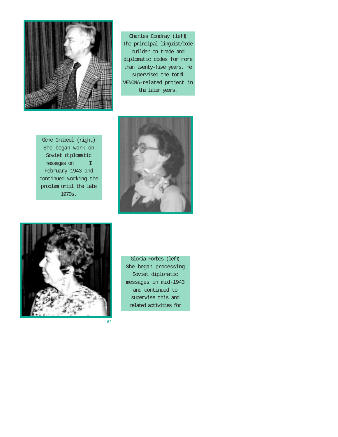

Charles Condray (left) The principal linguist/code builder on trade and diplomatic codes for more than twenty-five years. He supervised the total VENONA-related project in the later years.

Gene Grabeel (right) She began work on Soviet diplomatic messages on I February 1943 and continued working the problem until the late 1970s.





Gloria Forbes (left) She began processing Soviet diplomatic messages in mid-1943 and continued to supervise this and related activities for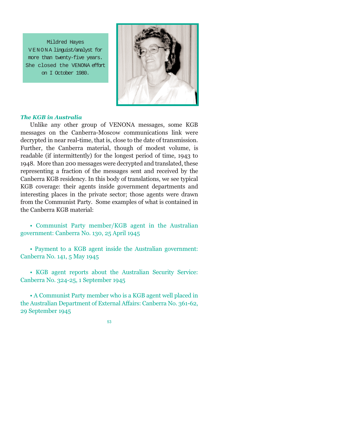Mildred Hayes VENONA linguist/analyst for more than twenty-five years. She closed the VENONA effort on I October 1980.



#### *The KGB in Australia*

Unlike any other group of VENONA messages, some KGB messages on the Canberra-Moscow communications link were decrypted in near real-time, that is, close to the date of transmission. Further, the Canberra material, though of modest volume, is readable (if intermittently) for the longest period of time, 1943 to 1948. More than 200 messages were decrypted and translated, these representing a fraction of the messages sent and received by the Canberra KGB residency. In this body of translations, we see typical KGB coverage: their agents inside government departments and interesting places in the private sector; those agents were drawn from the Communist Party. Some examples of what is contained in the Canberra KGB material:

 Communist Party member/KGB agent in the Australian government: Canberra No. 130, 25 April 1945

 Payment to a KGB agent inside the Australian government: Canberra No. 141, 5 May 1945

 KGB agent reports about the Australian Security Service: Canberra No. 324-25, 1 September 1945

 A Communist Party member who is a KGB agent well placed in the Australian Department of External Affairs: Canberra No. 361-62, 29 September 1945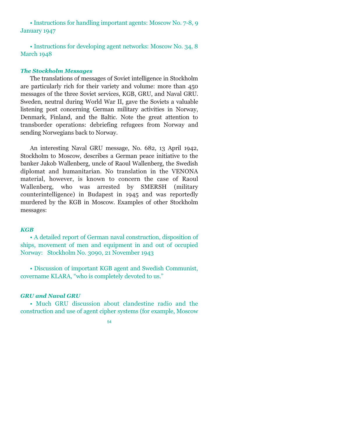• Instructions for handling important agents: Moscow No. 7-8, 9 January 1947

• Instructions for developing agent networks: Moscow No. 34, 8 March 1948

# *The Stockholm Messages*

The translations of messages of Soviet intelligence in Stockholm are particularly rich for their variety and volume: more than 450 messages of the three Soviet services, KGB, GRU, and Naval GRU. Sweden, neutral during World War II, gave the Soviets a valuable listening post concerning German military activities in Norway, Denmark, Finland, and the Baltic. Note the great attention to transborder operations: debriefing refugees from Norway and sending Norwegians back to Norway.

An interesting Naval GRU message, No. 682, 13 April 1942, Stockholm to Moscow, describes a German peace initiative to the banker Jakob Wallenberg, uncle of Raoul Wallenberg, the Swedish diplomat and humanitarian. No translation in the VENONA material, however, is known to concern the case of Raoul Wallenberg, who was arrested by SMERSH (military counterintelligence) in Budapest in 1945 and was reportedly murdered by the KGB in Moscow. Examples of other Stockholm messages:

#### *KGB*

 A detailed report of German naval construction, disposition of ships, movement of men and equipment in and out of occupied Norway: Stockholm No. 3090, 21 November 1943

 Discussion of important KGB agent and Swedish Communist, covername KLARA, "who is completely devoted to us."

#### *GRU and Naval GRU*

 Much GRU discussion about clandestine radio and the construction and use of agent cipher systems (for example, Moscow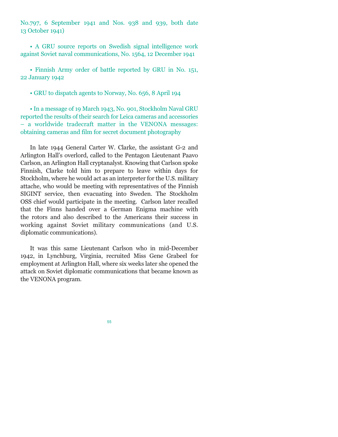No.797, 6 September 1941 and Nos. 938 and 939, both date 13 October 1941)

 A GRU source reports on Swedish signal intelligence work against Soviet naval communications, No. 1564, 12 December 1941

 Finnish Army order of battle reported by GRU in No. 151, 22 January 1942

GRU to dispatch agents to Norway, No. 656, 8 April 194

• In a message of 19 March 1943, No. 901, Stockholm Naval GRU reported the results of their search for Leica cameras and accessories - a worldwide tradecraft matter in the VENONA messages: obtaining cameras and film for secret document photography

In late 1944 General Carter W. Clarke, the assistant G-2 and Arlington Hall's overlord, called to the Pentagon Lieutenant Paavo Carlson, an Arlington Hall cryptanalyst. Knowing that Carlson spoke Finnish, Clarke told him to prepare to leave within days for Stockholm, where he would act as an interpreter for the U.S. military attache, who would be meeting with representatives of the Finnish SIGINT service, then evacuating into Sweden. The Stockholm OSS chief would participate in the meeting. Carlson later recalled that the Finns handed over a German Enigma machine with the rotors and also described to the Americans their success in working against Soviet military communications (and U.S. diplomatic communications).

It was this same Lieutenant Carlson who in mid-December 1942, in Lynchburg, Virginia, recruited Miss Gene Grabeel for employment at Arlington Hall, where six weeks later she opened the attack on Soviet diplomatic communications that became known as the VENONA program.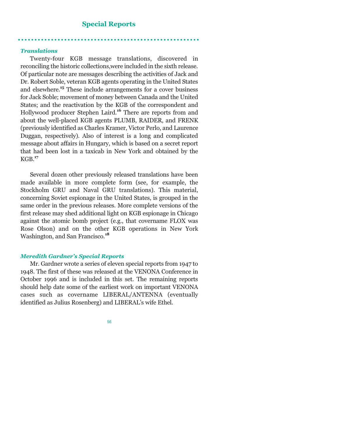# **Special Reports**

#### *Translations*

Twenty-four KGB message translations, discovered in reconciling the historic collections,were included in the sixth release. Of particular note are messages describing the activities of Jack and Dr. Robert Soble, veteran KGB agents operating in the United States and elsewhere.**<sup>15</sup>** These include arrangements for a cover business for Jack Soble; movement of money between Canada and the United States; and the reactivation by the KGB of the correspondent and Hollywood producer Stephen Laird.**<sup>16</sup>** There are reports from and about the well-placed KGB agents PLUMB, RAIDER, and FRENK (previously identified as Charles Kramer, Victor Perlo, and Laurence Duggan, respectively). Also of interest is a long and complicated message about affairs in Hungary, which is based on a secret report that had been lost in a taxicab in New York and obtained by the KGB.**<sup>17</sup>**

Several dozen other previously released translations have been made available in more complete form (see, for example, the Stockholm GRU and Naval GRU translations). This material, concerning Soviet espionage in the United States, is grouped in the same order in the previous releases. More complete versions of the first release may shed additional light on KGB espionage in Chicago against the atomic bomb project (e.g., that covername FLOX was Rose Olson) and on the other KGB operations in New York Washington, and San Francisco.**<sup>18</sup>**

#### *Meredith Gardner's Special Reports*

Mr. Gardner wrote a series of eleven special reports from 1947 to 1948. The first of these was released at the VENONA Conference in October 1996 and is included in this set. The remaining reports should help date some of the earliest work on important VENONA cases such as covername LIBERAL/ANTENNA (eventually identified as Julius Rosenberg) and LIBERAL's wife Ethel.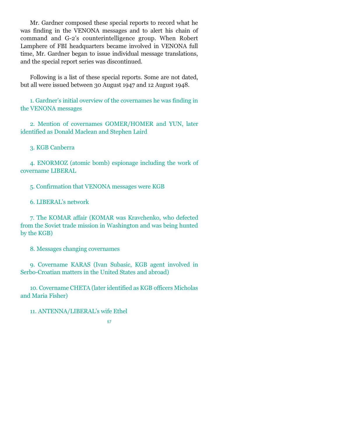Mr. Gardner composed these special reports to record what he was finding in the VENONA messages and to alert his chain of command and G-2s counterintelligence group. When Robert Lamphere of FBI headquarters became involved in VENONA full time, Mr. Gardner began to issue individual message translations, and the special report series was discontinued.

Following is a list of these special reports. Some are not dated, but all were issued between 30 August 1947 and 12 August 1948.

1. Gardner's initial overview of the covernames he was finding in the VENONA messages

2. Mention of covernames GOMER/HOMER and YUN, later identified as Donald Maclean and Stephen Laird

3. KGB Canberra

4. ENORMOZ (atomic bomb) espionage including the work of covername LIBERAL

5. Confirmation that VENONA messages were KGB

6. LIBERALs network

7. The KOMAR affair (KOMAR was Kravchenko, who defected from the Soviet trade mission in Washington and was being hunted by the KGB)

8. Messages changing covernames

9. Covername KARAS (Ivan Subasic, KGB agent involved in Serbo-Croatian matters in the United States and abroad)

10. Covername CHETA (later identified as KGB officers Micholas and Maria Fisher)

11. ANTENNA/LIBERAL's wife Ethel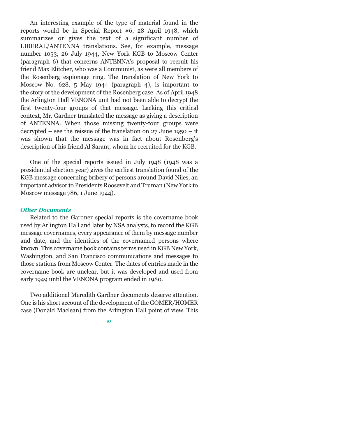An interesting example of the type of material found in the reports would be in Special Report #6, 28 April 1948, which summarizes or gives the text of a significant number of LIBERAL/ANTENNA translations. See, for example, message number 1053, 26 July 1944, New York KGB to Moscow Center (paragraph 6) that concerns ANTENNA's proposal to recruit his friend Max Elitcher, who was a Communist, as were all members of the Rosenberg espionage ring. The translation of New York to Moscow No. 628, 5 May 1944 (paragraph 4), is important to the story of the development of the Rosenberg case. As of April 1948 the Arlington Hall VENONA unit had not been able to decrypt the first twenty-four groups of that message. Lacking this critical context, Mr. Gardner translated the message as giving a description of ANTENNA. When those missing twenty-four groups were decrypted  $-$  see the reissue of the translation on 27 June 1950  $-$  it was shown that the message was in fact about Rosenberg's description of his friend Al Sarant, whom he recruited for the KGB.

One of the special reports issued in July 1948 (1948 was a presidential election year) gives the earliest translation found of the KGB message concerning bribery of persons around David Niles, an important advisor to Presidents Roosevelt and Truman (New York to Moscow message 786, 1 June 1944).

#### *Other Documents*

Related to the Gardner special reports is the covername book used by Arlington Hall and later by NSA analysts, to record the KGB message covernames, every appearance of them by message number and date, and the identities of the covernamed persons where known. This covername book contains terms used in KGB New York, Washington, and San Francisco communications and messages to those stations from Moscow Center. The dates of entries made in the covername book are unclear, but it was developed and used from early 1949 until the VENONA program ended in 1980.

Two additional Meredith Gardner documents deserve attention. One is his short account of the development of the GOMER/HOMER case (Donald Maclean) from the Arlington Hall point of view. This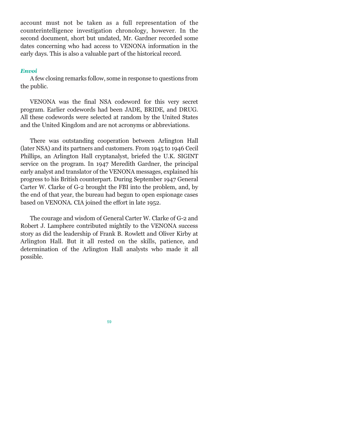account must not be taken as a full representation of the counterintelligence investigation chronology, however. In the second document, short but undated, Mr. Gardner recorded some dates concerning who had access to VENONA information in the early days. This is also a valuable part of the historical record.

#### *Envoi*

A few closing remarks follow, some in response to questions from the public.

VENONA was the final NSA codeword for this very secret program. Earlier codewords had been JADE, BRIDE, and DRUG. All these codewords were selected at random by the United States and the United Kingdom and are not acronyms or abbreviations.

There was outstanding cooperation between Arlington Hall (later NSA) and its partners and customers. From 1945 to 1946 Cecil Phillips, an Arlington Hall cryptanalyst, briefed the U.K. SIGINT service on the program. In 1947 Meredith Gardner, the principal early analyst and translator of the VENONA messages, explained his progress to his British counterpart. During September 1947 General Carter W. Clarke of G-2 brought the FBI into the problem, and, by the end of that year, the bureau had begun to open espionage cases based on VENONA. CIA joined the effort in late 1952.

The courage and wisdom of General Carter W. Clarke of G-2 and Robert J. Lamphere contributed mightily to the VENONA success story as did the leadership of Frank B. Rowlett and Oliver Kirby at Arlington Hall. But it all rested on the skills, patience, and determination of the Arlington Hall analysts who made it all possible.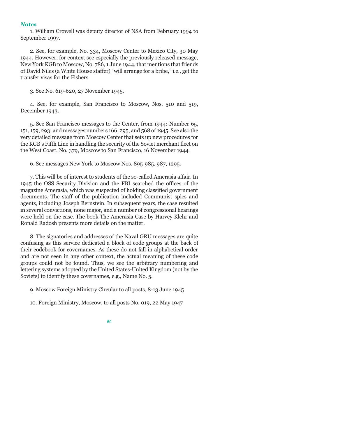#### *Notes*

1. William Crowell was deputy director of NSA from February 1994 to September 1997.

2. See, for example, No. 334, Moscow Center to Mexico City, 30 May 1944. However, for context see especially the previously released message, New York KGB to Moscow, No. 786, 1 June 1944, that mentions that friends of David Niles (a White House staffer) "will arrange for a bribe," i.e., get the transfer visas for the Fishers.

3. See No. 619-620, 27 November 1945.

4. See, for example, San Francisco to Moscow, Nos. 510 and 519, December 1943.

5. See San Francisco messages to the Center, from 1944: Number 65, 151, 159, 293; and messages numbers 166, 295, and 568 of 1945. See also the very detailed message from Moscow Center that sets up new procedures for the KGB's Fifth Line in handling the security of the Soviet merchant fleet on the West Coast, No. 379, Moscow to San Francisco, 16 November 1944.

6. See messages New York to Moscow Nos. 895-985, 987, 1295.

7. This will be of interest to students of the so-called Amerasia affair. In 1945 the OSS Security Division and the FBI searched the offices of the magazine Amerasia, which was suspected of holding classified government documents. The staff of the publication included Communist spies and agents, including Joseph Bernstein. In subsequent years, the case resulted in several convictions, none major, and a number of congressional hearings were held on the case. The book The Amerasia Case by Harvey Klehr and Ronald Radosh presents more details on the matter.

8. The signatories and addresses of the Naval GRU messages are quite confusing as this service dedicated a block of code groups at the back of their codebook for covernames. As these do not fall in alphabetical order and are not seen in any other context, the actual meaning of these code groups could not be found. Thus, we see the arbitrary numbering and lettering systems adopted by the United States-United Kingdom (not by the Soviets) to identify these covernames, e.g., Name No. 5.

9. Moscow Foreign Ministry Circular to all posts, 8-13 June 1945

10. Foreign Ministry, Moscow, to all posts No. 019, 22 May 1947